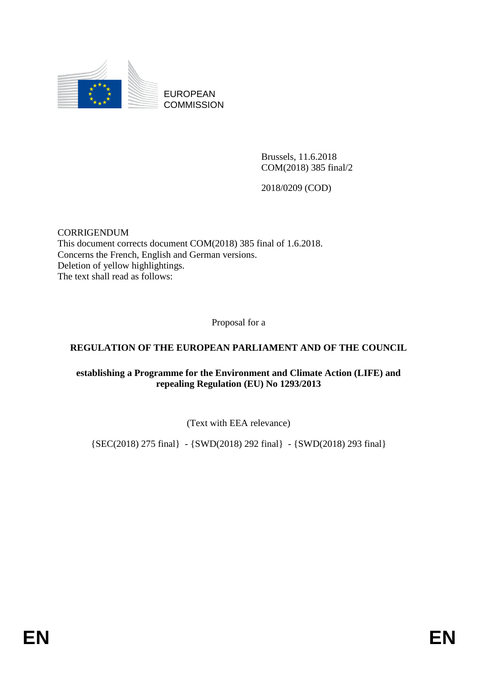

EUROPEAN **COMMISSION** 

> Brussels, 11.6.2018 COM(2018) 385 final/2

2018/0209 (COD)

CORRIGENDUM This document corrects document COM(2018) 385 final of 1.6.2018. Concerns the French, English and German versions. Deletion of yellow highlightings. The text shall read as follows:

Proposal for a

#### **REGULATION OF THE EUROPEAN PARLIAMENT AND OF THE COUNCIL**

#### **establishing a Programme for the Environment and Climate Action (LIFE) and repealing Regulation (EU) No 1293/2013**

(Text with EEA relevance)

{SEC(2018) 275 final} - {SWD(2018) 292 final} - {SWD(2018) 293 final}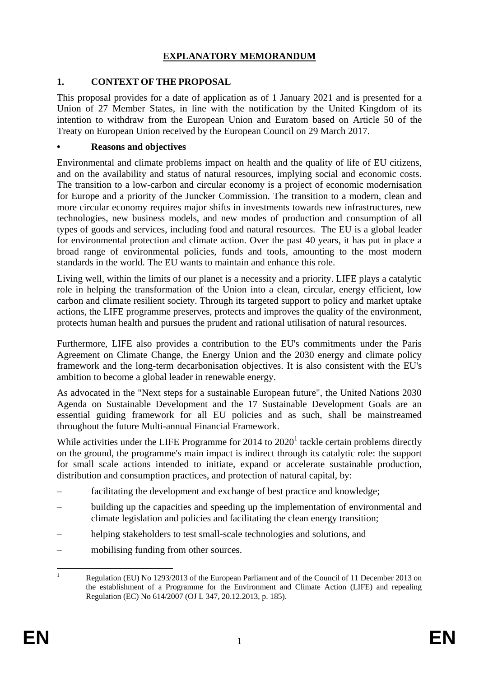## **EXPLANATORY MEMORANDUM**

#### **1. CONTEXT OF THE PROPOSAL**

This proposal provides for a date of application as of 1 January 2021 and is presented for a Union of 27 Member States, in line with the notification by the United Kingdom of its intention to withdraw from the European Union and Euratom based on Article 50 of the Treaty on European Union received by the European Council on 29 March 2017.

#### **• Reasons and objectives**

Environmental and climate problems impact on health and the quality of life of EU citizens, and on the availability and status of natural resources, implying social and economic costs. The transition to a low-carbon and circular economy is a project of economic modernisation for Europe and a priority of the Juncker Commission. The transition to a modern, clean and more circular economy requires major shifts in investments towards new infrastructures, new technologies, new business models, and new modes of production and consumption of all types of goods and services, including food and natural resources. The EU is a global leader for environmental protection and climate action. Over the past 40 years, it has put in place a broad range of environmental policies, funds and tools, amounting to the most modern standards in the world. The EU wants to maintain and enhance this role.

Living well, within the limits of our planet is a necessity and a priority. LIFE plays a catalytic role in helping the transformation of the Union into a clean, circular, energy efficient, low carbon and climate resilient society. Through its targeted support to policy and market uptake actions, the LIFE programme preserves, protects and improves the quality of the environment, protects human health and pursues the prudent and rational utilisation of natural resources.

Furthermore, LIFE also provides a contribution to the EU's commitments under the Paris Agreement on Climate Change, the Energy Union and the 2030 energy and climate policy framework and the long-term decarbonisation objectives. It is also consistent with the EU's ambition to become a global leader in renewable energy.

As advocated in the "Next steps for a sustainable European future", the United Nations 2030 Agenda on Sustainable Development and the 17 Sustainable Development Goals are an essential guiding framework for all EU policies and as such, shall be mainstreamed throughout the future Multi-annual Financial Framework.

While activities under the LIFE Programme for  $2014$  to  $2020<sup>1</sup>$  tackle certain problems directly on the ground, the programme's main impact is indirect through its catalytic role: the support for small scale actions intended to initiate, expand or accelerate sustainable production, distribution and consumption practices, and protection of natural capital, by:

- facilitating the development and exchange of best practice and knowledge;
- building up the capacities and speeding up the implementation of environmental and climate legislation and policies and facilitating the clean energy transition;
- helping stakeholders to test small-scale technologies and solutions, and
- mobilising funding from other sources.

 $\mathbf{1}$ Regulation (EU) No 1293/2013 of the European Parliament and of the Council of 11 December 2013 on the establishment of a Programme for the Environment and Climate Action (LIFE) and repealing Regulation (EC) No 614/2007 (OJ L 347, 20.12.2013, p. 185).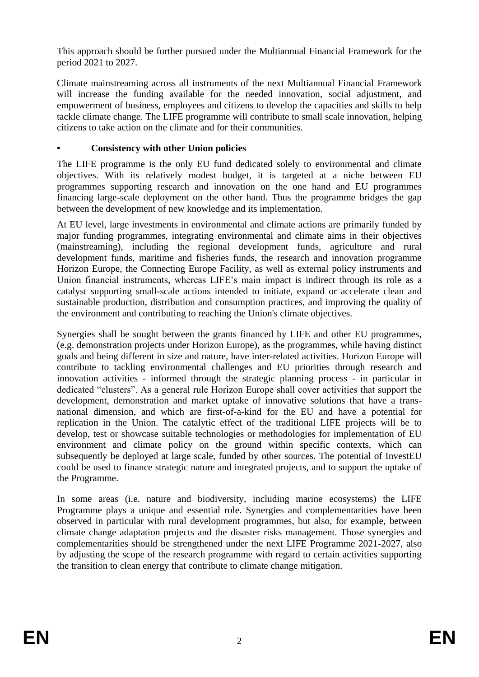This approach should be further pursued under the Multiannual Financial Framework for the period 2021 to 2027.

Climate mainstreaming across all instruments of the next Multiannual Financial Framework will increase the funding available for the needed innovation, social adjustment, and empowerment of business, employees and citizens to develop the capacities and skills to help tackle climate change. The LIFE programme will contribute to small scale innovation, helping citizens to take action on the climate and for their communities.

## **• Consistency with other Union policies**

The LIFE programme is the only EU fund dedicated solely to environmental and climate objectives. With its relatively modest budget, it is targeted at a niche between EU programmes supporting research and innovation on the one hand and EU programmes financing large-scale deployment on the other hand. Thus the programme bridges the gap between the development of new knowledge and its implementation.

At EU level, large investments in environmental and climate actions are primarily funded by major funding programmes, integrating environmental and climate aims in their objectives (mainstreaming), including the regional development funds, agriculture and rural development funds, maritime and fisheries funds, the research and innovation programme Horizon Europe, the Connecting Europe Facility, as well as external policy instruments and Union financial instruments, whereas LIFE's main impact is indirect through its role as a catalyst supporting small-scale actions intended to initiate, expand or accelerate clean and sustainable production, distribution and consumption practices, and improving the quality of the environment and contributing to reaching the Union's climate objectives.

Synergies shall be sought between the grants financed by LIFE and other EU programmes, (e.g. demonstration projects under Horizon Europe), as the programmes, while having distinct goals and being different in size and nature, have inter-related activities. Horizon Europe will contribute to tackling environmental challenges and EU priorities through research and innovation activities - informed through the strategic planning process - in particular in dedicated "clusters". As a general rule Horizon Europe shall cover activities that support the development, demonstration and market uptake of innovative solutions that have a transnational dimension, and which are first-of-a-kind for the EU and have a potential for replication in the Union. The catalytic effect of the traditional LIFE projects will be to develop, test or showcase suitable technologies or methodologies for implementation of EU environment and climate policy on the ground within specific contexts, which can subsequently be deployed at large scale, funded by other sources. The potential of InvestEU could be used to finance strategic nature and integrated projects, and to support the uptake of the Programme.

In some areas (i.e. nature and biodiversity, including marine ecosystems) the LIFE Programme plays a unique and essential role. Synergies and complementarities have been observed in particular with rural development programmes, but also, for example, between climate change adaptation projects and the disaster risks management. Those synergies and complementarities should be strengthened under the next LIFE Programme 2021-2027, also by adjusting the scope of the research programme with regard to certain activities supporting the transition to clean energy that contribute to climate change mitigation.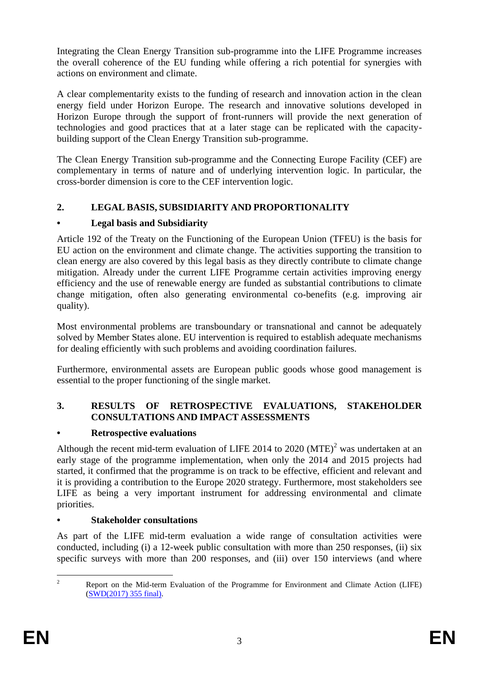Integrating the Clean Energy Transition sub-programme into the LIFE Programme increases the overall coherence of the EU funding while offering a rich potential for synergies with actions on environment and climate.

A clear complementarity exists to the funding of research and innovation action in the clean energy field under Horizon Europe. The research and innovative solutions developed in Horizon Europe through the support of front-runners will provide the next generation of technologies and good practices that at a later stage can be replicated with the capacitybuilding support of the Clean Energy Transition sub-programme.

The Clean Energy Transition sub-programme and the Connecting Europe Facility (CEF) are complementary in terms of nature and of underlying intervention logic. In particular, the cross-border dimension is core to the CEF intervention logic.

## **2. LEGAL BASIS, SUBSIDIARITY AND PROPORTIONALITY**

## **• Legal basis and Subsidiarity**

Article 192 of the Treaty on the Functioning of the European Union (TFEU) is the basis for EU action on the environment and climate change. The activities supporting the transition to clean energy are also covered by this legal basis as they directly contribute to climate change mitigation. Already under the current LIFE Programme certain activities improving energy efficiency and the use of renewable energy are funded as substantial contributions to climate change mitigation, often also generating environmental co-benefits (e.g. improving air quality).

Most environmental problems are transboundary or transnational and cannot be adequately solved by Member States alone. EU intervention is required to establish adequate mechanisms for dealing efficiently with such problems and avoiding coordination failures.

Furthermore, environmental assets are European public goods whose good management is essential to the proper functioning of the single market.

## **3. RESULTS OF RETROSPECTIVE EVALUATIONS, STAKEHOLDER CONSULTATIONS AND IMPACT ASSESSMENTS**

## **• Retrospective evaluations**

Although the recent mid-term evaluation of LIFE 2014 to 2020 (MTE)<sup>2</sup> was undertaken at an early stage of the programme implementation, when only the 2014 and 2015 projects had started, it confirmed that the programme is on track to be effective, efficient and relevant and it is providing a contribution to the Europe 2020 strategy. Furthermore, most stakeholders see LIFE as being a very important instrument for addressing environmental and climate priorities.

## **• Stakeholder consultations**

As part of the LIFE mid-term evaluation a wide range of consultation activities were conducted, including (i) a 12-week public consultation with more than 250 responses, (ii) six specific surveys with more than 200 responses, and (iii) over 150 interviews (and where

 $\overline{2}$ <sup>2</sup> Report on the Mid-term Evaluation of the Programme for Environment and Climate Action (LIFE) [\(SWD\(2017\) 355 final\)](http://eur-lex.europa.eu/legal-content/EN/TXT/PDF/?uri=CELEX:52017SC0355&from=EN).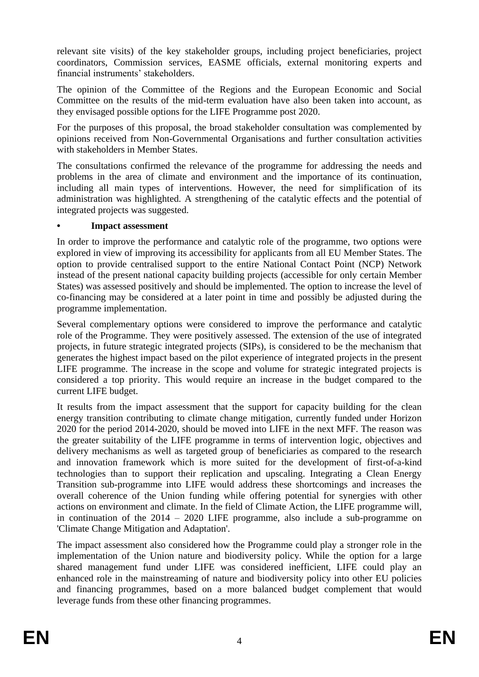relevant site visits) of the key stakeholder groups, including project beneficiaries, project coordinators, Commission services, EASME officials, external monitoring experts and financial instruments' stakeholders.

The opinion of the Committee of the Regions and the European Economic and Social Committee on the results of the mid-term evaluation have also been taken into account, as they envisaged possible options for the LIFE Programme post 2020.

For the purposes of this proposal, the broad stakeholder consultation was complemented by opinions received from Non-Governmental Organisations and further consultation activities with stakeholders in Member States.

The consultations confirmed the relevance of the programme for addressing the needs and problems in the area of climate and environment and the importance of its continuation, including all main types of interventions. However, the need for simplification of its administration was highlighted. A strengthening of the catalytic effects and the potential of integrated projects was suggested.

#### **• Impact assessment**

In order to improve the performance and catalytic role of the programme, two options were explored in view of improving its accessibility for applicants from all EU Member States. The option to provide centralised support to the entire National Contact Point (NCP) Network instead of the present national capacity building projects (accessible for only certain Member States) was assessed positively and should be implemented. The option to increase the level of co-financing may be considered at a later point in time and possibly be adjusted during the programme implementation.

Several complementary options were considered to improve the performance and catalytic role of the Programme. They were positively assessed. The extension of the use of integrated projects, in future strategic integrated projects (SIPs), is considered to be the mechanism that generates the highest impact based on the pilot experience of integrated projects in the present LIFE programme. The increase in the scope and volume for strategic integrated projects is considered a top priority. This would require an increase in the budget compared to the current LIFE budget.

It results from the impact assessment that the support for capacity building for the clean energy transition contributing to climate change mitigation, currently funded under Horizon 2020 for the period 2014-2020, should be moved into LIFE in the next MFF. The reason was the greater suitability of the LIFE programme in terms of intervention logic, objectives and delivery mechanisms as well as targeted group of beneficiaries as compared to the research and innovation framework which is more suited for the development of first-of-a-kind technologies than to support their replication and upscaling. Integrating a Clean Energy Transition sub-programme into LIFE would address these shortcomings and increases the overall coherence of the Union funding while offering potential for synergies with other actions on environment and climate. In the field of Climate Action, the LIFE programme will, in continuation of the 2014 – 2020 LIFE programme, also include a sub-programme on 'Climate Change Mitigation and Adaptation'.

The impact assessment also considered how the Programme could play a stronger role in the implementation of the Union nature and biodiversity policy. While the option for a large shared management fund under LIFE was considered inefficient, LIFE could play an enhanced role in the mainstreaming of nature and biodiversity policy into other EU policies and financing programmes, based on a more balanced budget complement that would leverage funds from these other financing programmes.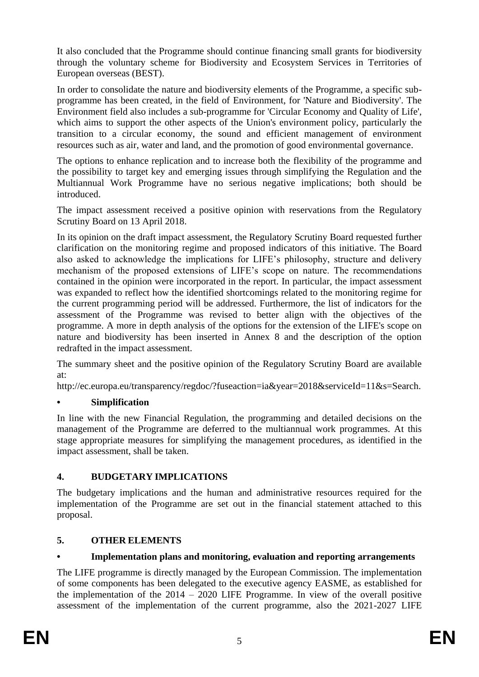It also concluded that the Programme should continue financing small grants for biodiversity through the voluntary scheme for Biodiversity and Ecosystem Services in Territories of European overseas (BEST).

In order to consolidate the nature and biodiversity elements of the Programme, a specific subprogramme has been created, in the field of Environment, for 'Nature and Biodiversity'. The Environment field also includes a sub-programme for 'Circular Economy and Quality of Life', which aims to support the other aspects of the Union's environment policy, particularly the transition to a circular economy, the sound and efficient management of environment resources such as air, water and land, and the promotion of good environmental governance.

The options to enhance replication and to increase both the flexibility of the programme and the possibility to target key and emerging issues through simplifying the Regulation and the Multiannual Work Programme have no serious negative implications; both should be introduced.

The impact assessment received a positive opinion with reservations from the Regulatory Scrutiny Board on 13 April 2018.

In its opinion on the draft impact assessment, the Regulatory Scrutiny Board requested further clarification on the monitoring regime and proposed indicators of this initiative. The Board also asked to acknowledge the implications for LIFE's philosophy, structure and delivery mechanism of the proposed extensions of LIFE's scope on nature. The recommendations contained in the opinion were incorporated in the report. In particular, the impact assessment was expanded to reflect how the identified shortcomings related to the monitoring regime for the current programming period will be addressed. Furthermore, the list of indicators for the assessment of the Programme was revised to better align with the objectives of the programme. A more in depth analysis of the options for the extension of the LIFE's scope on nature and biodiversity has been inserted in Annex 8 and the description of the option redrafted in the impact assessment.

The summary sheet and the positive opinion of the Regulatory Scrutiny Board are available at:

http://ec.europa.eu/transparency/regdoc/?fuseaction=ia&year=2018&serviceId=11&s=Search.

#### **• Simplification**

In line with the new Financial Regulation, the programming and detailed decisions on the management of the Programme are deferred to the multiannual work programmes. At this stage appropriate measures for simplifying the management procedures, as identified in the impact assessment, shall be taken.

#### **4. BUDGETARY IMPLICATIONS**

The budgetary implications and the human and administrative resources required for the implementation of the Programme are set out in the financial statement attached to this proposal.

#### **5. OTHER ELEMENTS**

## **• Implementation plans and monitoring, evaluation and reporting arrangements**

The LIFE programme is directly managed by the European Commission. The implementation of some components has been delegated to the executive agency EASME, as established for the implementation of the 2014 – 2020 LIFE Programme. In view of the overall positive assessment of the implementation of the current programme, also the 2021-2027 LIFE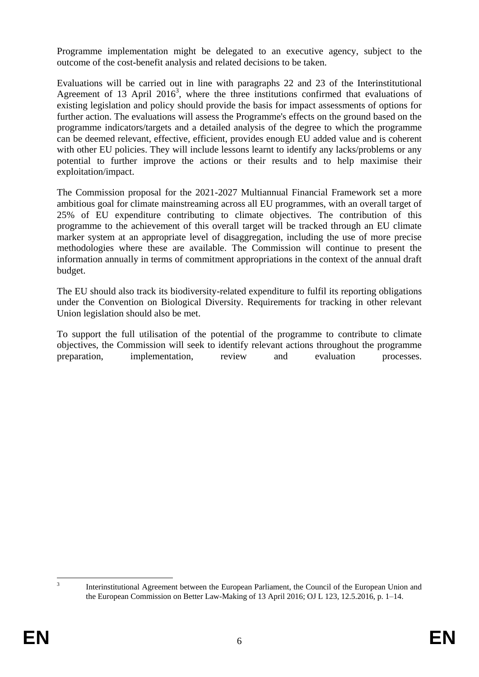Programme implementation might be delegated to an executive agency, subject to the outcome of the cost-benefit analysis and related decisions to be taken.

Evaluations will be carried out in line with paragraphs 22 and 23 of the Interinstitutional Agreement of 13 April 2016<sup>3</sup>, where the three institutions confirmed that evaluations of existing legislation and policy should provide the basis for impact assessments of options for further action. The evaluations will assess the Programme's effects on the ground based on the programme indicators/targets and a detailed analysis of the degree to which the programme can be deemed relevant, effective, efficient, provides enough EU added value and is coherent with other EU policies. They will include lessons learnt to identify any lacks/problems or any potential to further improve the actions or their results and to help maximise their exploitation/impact.

The Commission proposal for the 2021-2027 Multiannual Financial Framework set a more ambitious goal for climate mainstreaming across all EU programmes, with an overall target of 25% of EU expenditure contributing to climate objectives. The contribution of this programme to the achievement of this overall target will be tracked through an EU climate marker system at an appropriate level of disaggregation, including the use of more precise methodologies where these are available. The Commission will continue to present the information annually in terms of commitment appropriations in the context of the annual draft budget.

The EU should also track its biodiversity-related expenditure to fulfil its reporting obligations under the Convention on Biological Diversity. Requirements for tracking in other relevant Union legislation should also be met.

To support the full utilisation of the potential of the programme to contribute to climate objectives, the Commission will seek to identify relevant actions throughout the programme preparation, implementation, review and evaluation processes.

 $\frac{1}{3}$ 

Interinstitutional Agreement between the European Parliament, the Council of the European Union and the European Commission on Better Law-Making of 13 April 2016; OJ L 123, 12.5.2016, p. 1–14.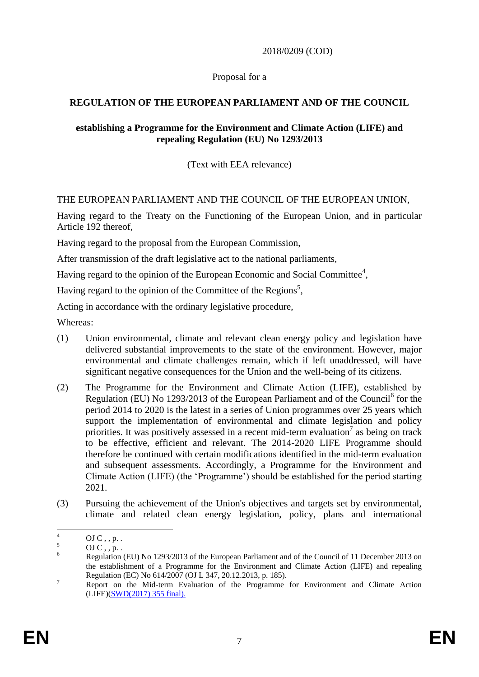2018/0209 (COD)

#### Proposal for a

## **REGULATION OF THE EUROPEAN PARLIAMENT AND OF THE COUNCIL**

#### **establishing a Programme for the Environment and Climate Action (LIFE) and repealing Regulation (EU) No 1293/2013**

(Text with EEA relevance)

#### THE EUROPEAN PARLIAMENT AND THE COUNCIL OF THE EUROPEAN UNION,

Having regard to the Treaty on the Functioning of the European Union, and in particular Article 192 thereof,

Having regard to the proposal from the European Commission,

After transmission of the draft legislative act to the national parliaments,

Having regard to the opinion of the European Economic and Social Committee<sup>4</sup>,

Having regard to the opinion of the Committee of the Regions<sup>5</sup>,

Acting in accordance with the ordinary legislative procedure,

Whereas:

- (1) Union environmental, climate and relevant clean energy policy and legislation have delivered substantial improvements to the state of the environment. However, major environmental and climate challenges remain, which if left unaddressed, will have significant negative consequences for the Union and the well-being of its citizens.
- (2) The Programme for the Environment and Climate Action (LIFE), established by Regulation (EU) No 1293/2013 of the European Parliament and of the Council<sup>6</sup> for the period 2014 to 2020 is the latest in a series of Union programmes over 25 years which support the implementation of environmental and climate legislation and policy priorities. It was positively assessed in a recent mid-term evaluation<sup>7</sup> as being on track to be effective, efficient and relevant. The 2014-2020 LIFE Programme should therefore be continued with certain modifications identified in the mid-term evaluation and subsequent assessments. Accordingly, a Programme for the Environment and Climate Action (LIFE) (the 'Programme') should be established for the period starting 2021.
- (3) Pursuing the achievement of the Union's objectives and targets set by environmental, climate and related clean energy legislation, policy, plans and international

 $\overline{4}$  $\frac{4}{5}$  OJ C, , p. .

 $\frac{5}{6}$  OJ C, , p. .

<sup>6</sup> Regulation (EU) No 1293/2013 of the European Parliament and of the Council of 11 December 2013 on the establishment of a Programme for the Environment and Climate Action (LIFE) and repealing Regulation (EC) No 614/2007 (OJ L 347, 20.12.2013, p. 185).

<sup>&</sup>lt;sup>7</sup> Report on the Mid-term Evaluation of the Programme for Environment and Climate Action (LIFE)[\(SWD\(2017\) 355 final\)](http://eur-lex.europa.eu/legal-content/EN/TXT/PDF/?uri=CELEX:52017SC0355&from=EN).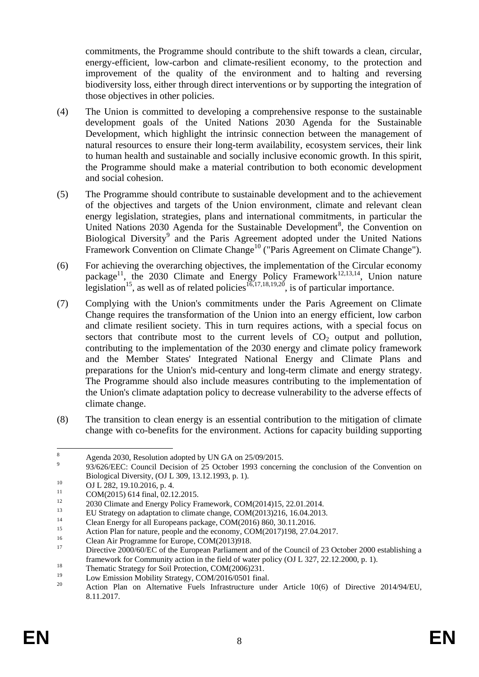commitments, the Programme should contribute to the shift towards a clean, circular, energy-efficient, low-carbon and climate-resilient economy, to the protection and improvement of the quality of the environment and to halting and reversing biodiversity loss, either through direct interventions or by supporting the integration of those objectives in other policies.

- (4) The Union is committed to developing a comprehensive response to the sustainable development goals of the United Nations 2030 Agenda for the Sustainable Development, which highlight the intrinsic connection between the management of natural resources to ensure their long-term availability, ecosystem services, their link to human health and sustainable and socially inclusive economic growth. In this spirit, the Programme should make a material contribution to both economic development and social cohesion.
- (5) The Programme should contribute to sustainable development and to the achievement of the objectives and targets of the Union environment, climate and relevant clean energy legislation, strategies, plans and international commitments, in particular the United Nations 2030 Agenda for the Sustainable Development<sup>8</sup>, the Convention on Biological Diversity<sup>9</sup> and the Paris Agreement adopted under the United Nations Framework Convention on Climate Change<sup>10</sup> ("Paris Agreement on Climate Change").
- (6) For achieving the overarching objectives, the implementation of the Circular economy package<sup>11</sup>, the 2030 Climate and Energy Policy Framework<sup>12,13,14</sup>, Union nature legislation<sup>15</sup>, as well as of related policies<sup>16,17,18,19,20</sup>, is of particular importance.
- (7) Complying with the Union's commitments under the Paris Agreement on Climate Change requires the transformation of the Union into an energy efficient, low carbon and climate resilient society. This in turn requires actions, with a special focus on sectors that contribute most to the current levels of  $CO<sub>2</sub>$  output and pollution, contributing to the implementation of the 2030 energy and climate policy framework and the Member States' Integrated National Energy and Climate Plans and preparations for the Union's mid-century and long-term climate and energy strategy. The Programme should also include measures contributing to the implementation of the Union's climate adaptation policy to decrease vulnerability to the adverse effects of climate change.
- (8) The transition to clean energy is an essential contribution to the mitigation of climate change with co-benefits for the environment. Actions for capacity building supporting

9 93/626/EEC: Council Decision of 25 October 1993 concerning the conclusion of the Convention on Biological Diversity, (OJ L 309, 13.12.1993, p. 1).

 $\overline{8}$ Agenda 2030, Resolution adopted by UN GA on 25/09/2015.

 $10$  OJ L 282, 19.10.2016, p. 4.

<sup>&</sup>lt;sup>11</sup> COM(2015) 614 final, 02.12.2015.

<sup>&</sup>lt;sup>12</sup> 2030 Climate and Energy Policy Framework, COM(2014)15, 22.01.2014.

<sup>&</sup>lt;sup>13</sup> EU Strategy on adaptation to climate change, COM(2013)216, 16.04.2013.

<sup>&</sup>lt;sup>14</sup> Clean Energy for all Europeans package, COM(2016) 860, 30.11.2016.

<sup>&</sup>lt;sup>15</sup> Action Plan for nature, people and the economy, COM(2017)198, 27.04.2017.

<sup>&</sup>lt;sup>16</sup> Clean Air Programme for Europe, COM(2013)918.

Directive 2000/60/EC of the European Parliament and of the Council of 23 October 2000 establishing a framework for Community action in the field of water policy (OJ L 327, 22.12.2000, p. 1).

<sup>&</sup>lt;sup>18</sup><br>Thematic Strategy for Soil Protection, COM(2006)231.<br> $\frac{19}{1}$  Low Emission Mobility Strategy, COM/2016/0501 final

<sup>&</sup>lt;sup>19</sup> Low Emission Mobility Strategy, COM/2016/0501 final.

<sup>20</sup> Action Plan on Alternative Fuels Infrastructure under Article 10(6) of Directive 2014/94/EU, 8.11.2017.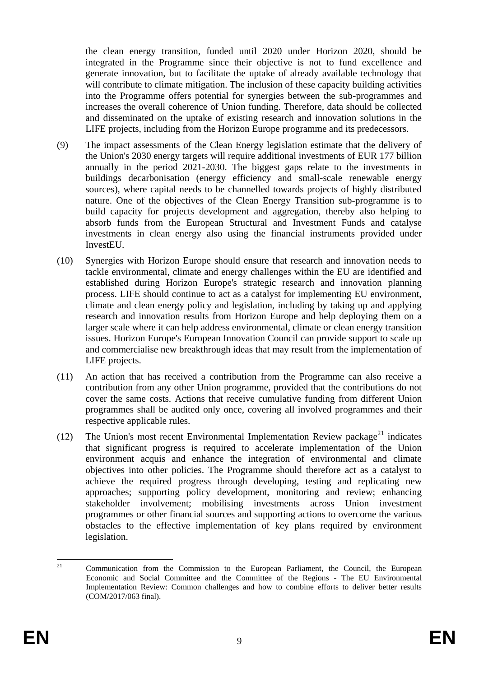the clean energy transition, funded until 2020 under Horizon 2020, should be integrated in the Programme since their objective is not to fund excellence and generate innovation, but to facilitate the uptake of already available technology that will contribute to climate mitigation. The inclusion of these capacity building activities into the Programme offers potential for synergies between the sub-programmes and increases the overall coherence of Union funding. Therefore, data should be collected and disseminated on the uptake of existing research and innovation solutions in the LIFE projects, including from the Horizon Europe programme and its predecessors.

- (9) The impact assessments of the Clean Energy legislation estimate that the delivery of the Union's 2030 energy targets will require additional investments of EUR 177 billion annually in the period 2021-2030. The biggest gaps relate to the investments in buildings decarbonisation (energy efficiency and small-scale renewable energy sources), where capital needs to be channelled towards projects of highly distributed nature. One of the objectives of the Clean Energy Transition sub-programme is to build capacity for projects development and aggregation, thereby also helping to absorb funds from the European Structural and Investment Funds and catalyse investments in clean energy also using the financial instruments provided under InvestEU.
- (10) Synergies with Horizon Europe should ensure that research and innovation needs to tackle environmental, climate and energy challenges within the EU are identified and established during Horizon Europe's strategic research and innovation planning process. LIFE should continue to act as a catalyst for implementing EU environment, climate and clean energy policy and legislation, including by taking up and applying research and innovation results from Horizon Europe and help deploying them on a larger scale where it can help address environmental, climate or clean energy transition issues. Horizon Europe's European Innovation Council can provide support to scale up and commercialise new breakthrough ideas that may result from the implementation of LIFE projects.
- (11) An action that has received a contribution from the Programme can also receive a contribution from any other Union programme, provided that the contributions do not cover the same costs. Actions that receive cumulative funding from different Union programmes shall be audited only once, covering all involved programmes and their respective applicable rules.
- (12) The Union's most recent Environmental Implementation Review package<sup>21</sup> indicates that significant progress is required to accelerate implementation of the Union environment acquis and enhance the integration of environmental and climate objectives into other policies. The Programme should therefore act as a catalyst to achieve the required progress through developing, testing and replicating new approaches; supporting policy development, monitoring and review; enhancing stakeholder involvement; mobilising investments across Union investment programmes or other financial sources and supporting actions to overcome the various obstacles to the effective implementation of key plans required by environment legislation.

 $21$ <sup>21</sup> Communication from the Commission to the European Parliament, the Council, the European Economic and Social Committee and the Committee of the Regions - The EU Environmental Implementation Review: Common challenges and how to combine efforts to deliver better results (COM/2017/063 final).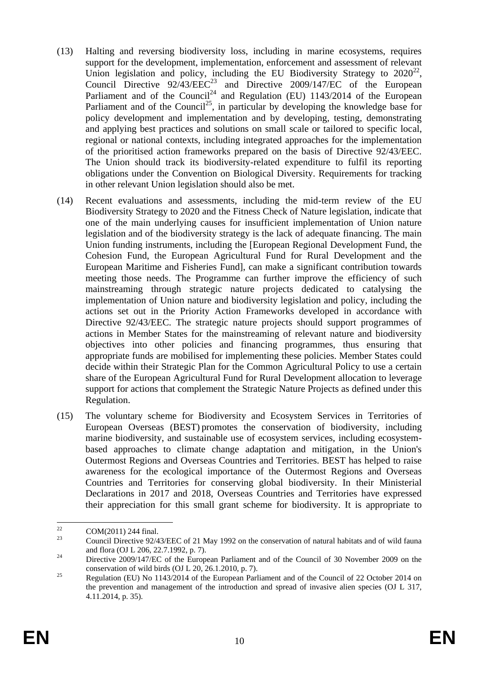- (13) Halting and reversing biodiversity loss, including in marine ecosystems, requires support for the development, implementation, enforcement and assessment of relevant Union legislation and policy, including the EU Biodiversity Strategy to  $2020^{22}$ , Council Directive  $92/43/EEC^{23}$  and Directive  $2009/147/EC$  of the European Parliament and of the Council<sup>24</sup> and Regulation (EU) 1143/2014 of the European Parliament and of the Council<sup>25</sup>, in particular by developing the knowledge base for policy development and implementation and by developing, testing, demonstrating and applying best practices and solutions on small scale or tailored to specific local, regional or national contexts, including integrated approaches for the implementation of the prioritised action frameworks prepared on the basis of Directive 92/43/EEC. The Union should track its biodiversity-related expenditure to fulfil its reporting obligations under the Convention on Biological Diversity. Requirements for tracking in other relevant Union legislation should also be met.
- (14) Recent evaluations and assessments, including the mid-term review of the EU Biodiversity Strategy to 2020 and the Fitness Check of Nature legislation, indicate that one of the main underlying causes for insufficient implementation of Union nature legislation and of the biodiversity strategy is the lack of adequate financing. The main Union funding instruments, including the [European Regional Development Fund, the Cohesion Fund, the European Agricultural Fund for Rural Development and the European Maritime and Fisheries Fund], can make a significant contribution towards meeting those needs. The Programme can further improve the efficiency of such mainstreaming through strategic nature projects dedicated to catalysing the implementation of Union nature and biodiversity legislation and policy, including the actions set out in the Priority Action Frameworks developed in accordance with Directive 92/43/EEC. The strategic nature projects should support programmes of actions in Member States for the mainstreaming of relevant nature and biodiversity objectives into other policies and financing programmes, thus ensuring that appropriate funds are mobilised for implementing these policies. Member States could decide within their Strategic Plan for the Common Agricultural Policy to use a certain share of the European Agricultural Fund for Rural Development allocation to leverage support for actions that complement the Strategic Nature Projects as defined under this Regulation.
- (15) The voluntary scheme for Biodiversity and Ecosystem Services in Territories of European Overseas (BEST) promotes the conservation of biodiversity, including marine biodiversity, and sustainable use of ecosystem services, including ecosystembased approaches to climate change adaptation and mitigation, in the Union's Outermost Regions and Overseas Countries and Territories. BEST has helped to raise awareness for the ecological importance of the Outermost Regions and Overseas Countries and Territories for conserving global biodiversity. In their Ministerial Declarations in 2017 and 2018, Overseas Countries and Territories have expressed their appreciation for this small grant scheme for biodiversity. It is appropriate to

<sup>22</sup>  $\frac{22}{23}$  COM(2011) 244 final.

<sup>23</sup> Council Directive 92/43/EEC of 21 May 1992 on the conservation of natural habitats and of wild fauna and flora (OJ L 206, 22.7.1992, p. 7).

<sup>&</sup>lt;sup>24</sup> Directive 2009/147/EC of the European Parliament and of the Council of 30 November 2009 on the conservation of wild birds (OJ L 20, 26.1.2010, p. 7).

<sup>&</sup>lt;sup>25</sup> Regulation (EU) No 1143/2014 of the European Parliament and of the Council of 22 October 2014 on the prevention and management of the introduction and spread of invasive alien species (OJ L 317, 4.11.2014, p. 35).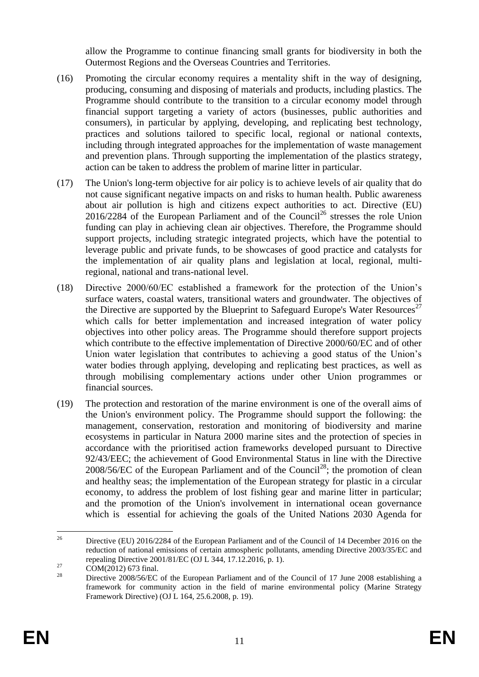allow the Programme to continue financing small grants for biodiversity in both the Outermost Regions and the Overseas Countries and Territories.

- (16) Promoting the circular economy requires a mentality shift in the way of designing, producing, consuming and disposing of materials and products, including plastics. The Programme should contribute to the transition to a circular economy model through financial support targeting a variety of actors (businesses, public authorities and consumers), in particular by applying, developing, and replicating best technology, practices and solutions tailored to specific local, regional or national contexts, including through integrated approaches for the implementation of waste management and prevention plans. Through supporting the implementation of the plastics strategy, action can be taken to address the problem of marine litter in particular.
- (17) The Union's long-term objective for air policy is to achieve levels of air quality that do not cause significant negative impacts on and risks to human health. Public awareness about air pollution is high and citizens expect authorities to act. Directive (EU)  $2016/2284$  of the European Parliament and of the Council<sup>26</sup> stresses the role Union funding can play in achieving clean air objectives. Therefore, the Programme should support projects, including strategic integrated projects, which have the potential to leverage public and private funds, to be showcases of good practice and catalysts for the implementation of air quality plans and legislation at local, regional, multiregional, national and trans-national level.
- (18) Directive 2000/60/EC established a framework for the protection of the Union's surface waters, coastal waters, transitional waters and groundwater. The objectives of the Directive are supported by the Blueprint to Safeguard Europe's Water Resources<sup>27</sup> which calls for better implementation and increased integration of water policy objectives into other policy areas. The Programme should therefore support projects which contribute to the effective implementation of Directive 2000/60/EC and of other Union water legislation that contributes to achieving a good status of the Union's water bodies through applying, developing and replicating best practices, as well as through mobilising complementary actions under other Union programmes or financial sources.
- (19) The protection and restoration of the marine environment is one of the overall aims of the Union's environment policy. The Programme should support the following: the management, conservation, restoration and monitoring of biodiversity and marine ecosystems in particular in Natura 2000 marine sites and the protection of species in accordance with the prioritised action frameworks developed pursuant to Directive 92/43/EEC; the achievement of Good Environmental Status in line with the Directive 2008/56/EC of the European Parliament and of the Council<sup>28</sup>; the promotion of clean and healthy seas; the implementation of the European strategy for plastic in a circular economy, to address the problem of lost fishing gear and marine litter in particular; and the promotion of the Union's involvement in international ocean governance which is essential for achieving the goals of the United Nations 2030 Agenda for

 $26$ <sup>26</sup> Directive (EU) 2016/2284 of the European Parliament and of the Council of 14 December 2016 on the reduction of national emissions of certain atmospheric pollutants, amending Directive 2003/35/EC and repealing Directive 2001/81/EC (OJ L 344, 17.12.2016, p. 1).

 $^{27}$  COM(2012) 673 final.

<sup>28</sup> Directive 2008/56/EC of the European Parliament and of the Council of 17 June 2008 establishing a framework for community action in the field of marine environmental policy (Marine Strategy Framework Directive) (OJ L 164, 25.6.2008, p. 19).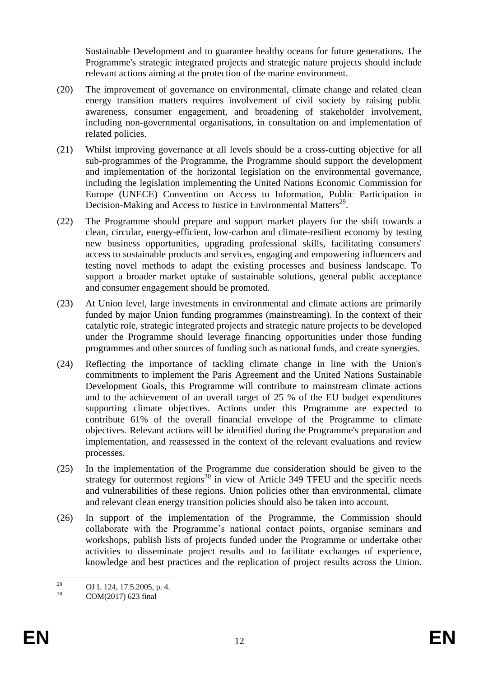Sustainable Development and to guarantee healthy oceans for future generations. The Programme's strategic integrated projects and strategic nature projects should include relevant actions aiming at the protection of the marine environment.

- (20) The improvement of governance on environmental, climate change and related clean energy transition matters requires involvement of civil society by raising public awareness, consumer engagement, and broadening of stakeholder involvement, including non-governmental organisations, in consultation on and implementation of related policies.
- (21) Whilst improving governance at all levels should be a cross-cutting objective for all sub-programmes of the Programme, the Programme should support the development and implementation of the horizontal legislation on the environmental governance, including the legislation implementing the United Nations Economic Commission for Europe (UNECE) Convention on Access to Information, Public Participation in Decision-Making and Access to Justice in Environmental Matters<sup>29</sup>.
- (22) The Programme should prepare and support market players for the shift towards a clean, circular, energy-efficient, low-carbon and climate-resilient economy by testing new business opportunities, upgrading professional skills, facilitating consumers' access to sustainable products and services, engaging and empowering influencers and testing novel methods to adapt the existing processes and business landscape. To support a broader market uptake of sustainable solutions, general public acceptance and consumer engagement should be promoted.
- (23) At Union level, large investments in environmental and climate actions are primarily funded by major Union funding programmes (mainstreaming). In the context of their catalytic role, strategic integrated projects and strategic nature projects to be developed under the Programme should leverage financing opportunities under those funding programmes and other sources of funding such as national funds, and create synergies.
- (24) Reflecting the importance of tackling climate change in line with the Union's commitments to implement the Paris Agreement and the United Nations Sustainable Development Goals, this Programme will contribute to mainstream climate actions and to the achievement of an overall target of 25 % of the EU budget expenditures supporting climate objectives. Actions under this Programme are expected to contribute 61% of the overall financial envelope of the Programme to climate objectives. Relevant actions will be identified during the Programme's preparation and implementation, and reassessed in the context of the relevant evaluations and review processes.
- (25) In the implementation of the Programme due consideration should be given to the strategy for outermost regions<sup>30</sup> in view of Article 349 TFEU and the specific needs and vulnerabilities of these regions. Union policies other than environmental, climate and relevant clean energy transition policies should also be taken into account.
- (26) In support of the implementation of the Programme, the Commission should collaborate with the Programme's national contact points, organise seminars and workshops, publish lists of projects funded under the Programme or undertake other activities to disseminate project results and to facilitate exchanges of experience, knowledge and best practices and the replication of project results across the Union.

<sup>29</sup> <sup>29</sup> OJ L 124, 17.5.2005, p. 4.<br>
COM(2017) 623 final

 $COM(2017)$  623 final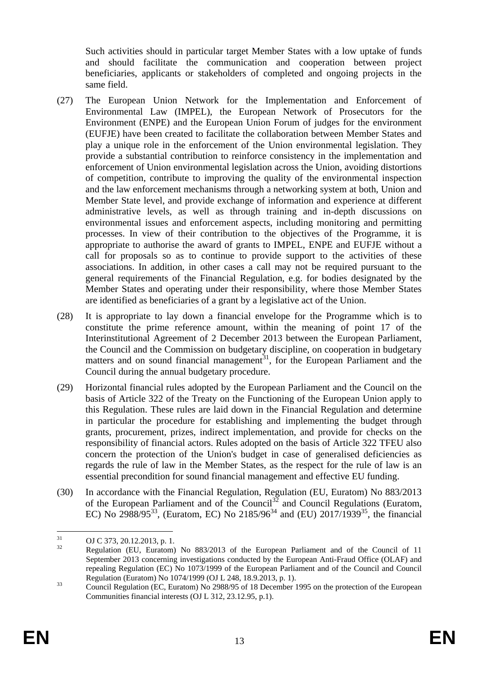Such activities should in particular target Member States with a low uptake of funds and should facilitate the communication and cooperation between project beneficiaries, applicants or stakeholders of completed and ongoing projects in the same field.

- (27) The European Union Network for the Implementation and Enforcement of Environmental Law (IMPEL), the European Network of Prosecutors for the Environment (ENPE) and the European Union Forum of judges for the environment (EUFJE) have been created to facilitate the collaboration between Member States and play a unique role in the enforcement of the Union environmental legislation. They provide a substantial contribution to reinforce consistency in the implementation and enforcement of Union environmental legislation across the Union, avoiding distortions of competition, contribute to improving the quality of the environmental inspection and the law enforcement mechanisms through a networking system at both, Union and Member State level, and provide exchange of information and experience at different administrative levels, as well as through training and in-depth discussions on environmental issues and enforcement aspects, including monitoring and permitting processes. In view of their contribution to the objectives of the Programme, it is appropriate to authorise the award of grants to IMPEL, ENPE and EUFJE without a call for proposals so as to continue to provide support to the activities of these associations. In addition, in other cases a call may not be required pursuant to the general requirements of the Financial Regulation, e.g. for bodies designated by the Member States and operating under their responsibility, where those Member States are identified as beneficiaries of a grant by a legislative act of the Union.
- (28) It is appropriate to lay down a financial envelope for the Programme which is to constitute the prime reference amount, within the meaning of point 17 of the Interinstitutional Agreement of 2 December 2013 between the European Parliament, the Council and the Commission on budgetary discipline, on cooperation in budgetary matters and on sound financial management<sup>31</sup>, for the European Parliament and the Council during the annual budgetary procedure.
- (29) Horizontal financial rules adopted by the European Parliament and the Council on the basis of Article 322 of the Treaty on the Functioning of the European Union apply to this Regulation. These rules are laid down in the Financial Regulation and determine in particular the procedure for establishing and implementing the budget through grants, procurement, prizes, indirect implementation, and provide for checks on the responsibility of financial actors. Rules adopted on the basis of Article 322 TFEU also concern the protection of the Union's budget in case of generalised deficiencies as regards the rule of law in the Member States, as the respect for the rule of law is an essential precondition for sound financial management and effective EU funding.
- (30) In accordance with the Financial Regulation, Regulation (EU, Euratom) No 883/2013 of the European Parliament and of the Council<sup>32</sup> and Council Regulations (Euratom, EC) No 2988/95<sup>33</sup>, (Euratom, EC) No 2185/96<sup>34</sup> and (EU) 2017/1939<sup>35</sup>, the financial

 $31$  $^{31}_{32}$  OJ C 373, 20.12.2013, p. 1.

<sup>32</sup> Regulation (EU, Euratom) No 883/2013 of the European Parliament and of the Council of 11 September 2013 concerning investigations conducted by the European Anti-Fraud Office (OLAF) and repealing Regulation (EC) No 1073/1999 of the European Parliament and of the Council and Council Regulation (Euratom) No 1074/1999 (OJ L 248, 18.9.2013, p. 1).

<sup>&</sup>lt;sup>33</sup><br>Council Regulation (EC, Euratom) No 2988/95 of 18 December 1995 on the protection of the European Communities financial interests (OJ L 312, 23.12.95, p.1).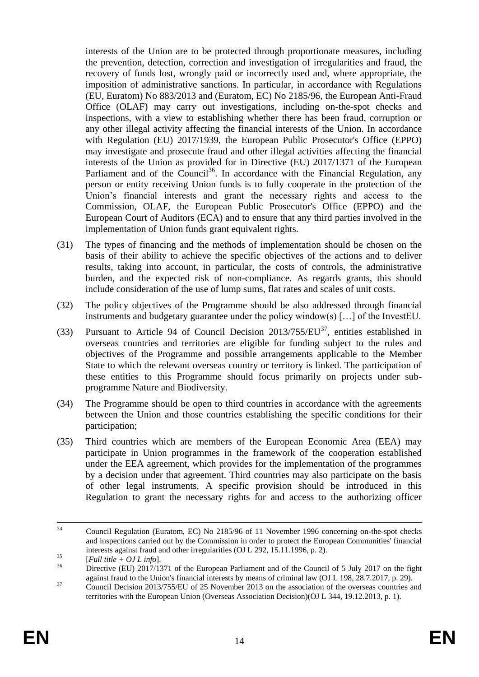interests of the Union are to be protected through proportionate measures, including the prevention, detection, correction and investigation of irregularities and fraud, the recovery of funds lost, wrongly paid or incorrectly used and, where appropriate, the imposition of administrative sanctions. In particular, in accordance with Regulations (EU, Euratom) No 883/2013 and (Euratom, EC) No 2185/96, the European Anti-Fraud Office (OLAF) may carry out investigations, including on-the-spot checks and inspections, with a view to establishing whether there has been fraud, corruption or any other illegal activity affecting the financial interests of the Union. In accordance with Regulation (EU) 2017/1939, the European Public Prosecutor's Office (EPPO) may investigate and prosecute fraud and other illegal activities affecting the financial interests of the Union as provided for in Directive (EU) 2017/1371 of the European Parliament and of the Council<sup>36</sup>. In accordance with the Financial Regulation, any person or entity receiving Union funds is to fully cooperate in the protection of the Union's financial interests and grant the necessary rights and access to the Commission, OLAF, the European Public Prosecutor's Office (EPPO) and the European Court of Auditors (ECA) and to ensure that any third parties involved in the implementation of Union funds grant equivalent rights.

- (31) The types of financing and the methods of implementation should be chosen on the basis of their ability to achieve the specific objectives of the actions and to deliver results, taking into account, in particular, the costs of controls, the administrative burden, and the expected risk of non-compliance. As regards grants, this should include consideration of the use of lump sums, flat rates and scales of unit costs.
- (32) The policy objectives of the Programme should be also addressed through financial instruments and budgetary guarantee under the policy window(s) […] of the InvestEU.
- (33) Pursuant to Article 94 of Council Decision 2013/755/EU<sup>37</sup>, entities established in overseas countries and territories are eligible for funding subject to the rules and objectives of the Programme and possible arrangements applicable to the Member State to which the relevant overseas country or territory is linked. The participation of these entities to this Programme should focus primarily on projects under subprogramme Nature and Biodiversity.
- (34) The Programme should be open to third countries in accordance with the agreements between the Union and those countries establishing the specific conditions for their participation;
- (35) Third countries which are members of the European Economic Area (EEA) may participate in Union programmes in the framework of the cooperation established under the EEA agreement, which provides for the implementation of the programmes by a decision under that agreement. Third countries may also participate on the basis of other legal instruments. A specific provision should be introduced in this Regulation to grant the necessary rights for and access to the authorizing officer

 $34$ <sup>34</sup> Council Regulation (Euratom, EC) No 2185/96 of 11 November 1996 concerning on-the-spot checks and inspections carried out by the Commission in order to protect the European Communities' financial interests against fraud and other irregularities (OJ L 292, 15.11.1996, p. 2).

<sup>35</sup> [*Full title + OJ L info*].

Directive (EU) 2017/1371 of the European Parliament and of the Council of 5 July 2017 on the fight against fraud to the Union's financial interests by means of criminal law (OJ L 198, 28.7.2017, p. 29).

<sup>&</sup>lt;sup>37</sup> Council Decision 2013/755/EU of 25 November 2013 on the association of the overseas countries and territories with the European Union (Overseas Association Decision)(OJ L 344, 19.12.2013, p. 1).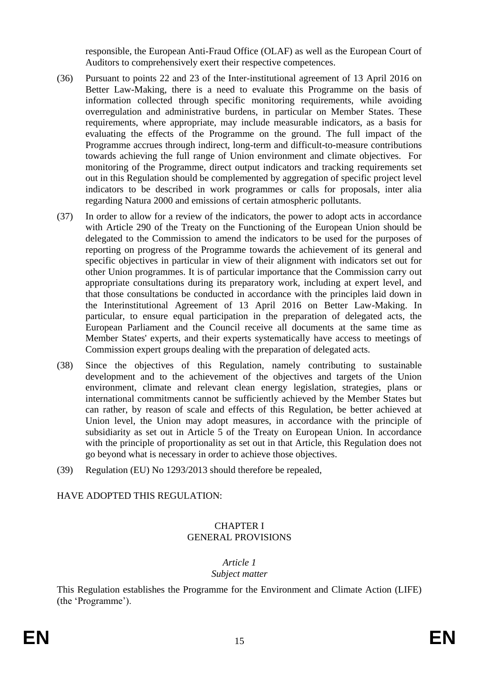responsible, the European Anti-Fraud Office (OLAF) as well as the European Court of Auditors to comprehensively exert their respective competences.

- (36) Pursuant to points 22 and 23 of the Inter-institutional agreement of 13 April 2016 on Better Law-Making, there is a need to evaluate this Programme on the basis of information collected through specific monitoring requirements, while avoiding overregulation and administrative burdens, in particular on Member States. These requirements, where appropriate, may include measurable indicators, as a basis for evaluating the effects of the Programme on the ground. The full impact of the Programme accrues through indirect, long-term and difficult-to-measure contributions towards achieving the full range of Union environment and climate objectives. For monitoring of the Programme, direct output indicators and tracking requirements set out in this Regulation should be complemented by aggregation of specific project level indicators to be described in work programmes or calls for proposals, inter alia regarding Natura 2000 and emissions of certain atmospheric pollutants.
- (37) In order to allow for a review of the indicators, the power to adopt acts in accordance with Article 290 of the Treaty on the Functioning of the European Union should be delegated to the Commission to amend the indicators to be used for the purposes of reporting on progress of the Programme towards the achievement of its general and specific objectives in particular in view of their alignment with indicators set out for other Union programmes. It is of particular importance that the Commission carry out appropriate consultations during its preparatory work, including at expert level, and that those consultations be conducted in accordance with the principles laid down in the Interinstitutional Agreement of 13 April 2016 on Better Law-Making. In particular, to ensure equal participation in the preparation of delegated acts, the European Parliament and the Council receive all documents at the same time as Member States' experts, and their experts systematically have access to meetings of Commission expert groups dealing with the preparation of delegated acts.
- (38) Since the objectives of this Regulation, namely contributing to sustainable development and to the achievement of the objectives and targets of the Union environment, climate and relevant clean energy legislation, strategies, plans or international commitments cannot be sufficiently achieved by the Member States but can rather, by reason of scale and effects of this Regulation, be better achieved at Union level, the Union may adopt measures, in accordance with the principle of subsidiarity as set out in Article 5 of the Treaty on European Union. In accordance with the principle of proportionality as set out in that Article, this Regulation does not go beyond what is necessary in order to achieve those objectives.
- (39) Regulation (EU) No 1293/2013 should therefore be repealed,

#### HAVE ADOPTED THIS REGULATION:

#### CHAPTER I GENERAL PROVISIONS

#### *Article 1 Subject matter*

This Regulation establishes the Programme for the Environment and Climate Action (LIFE) (the 'Programme').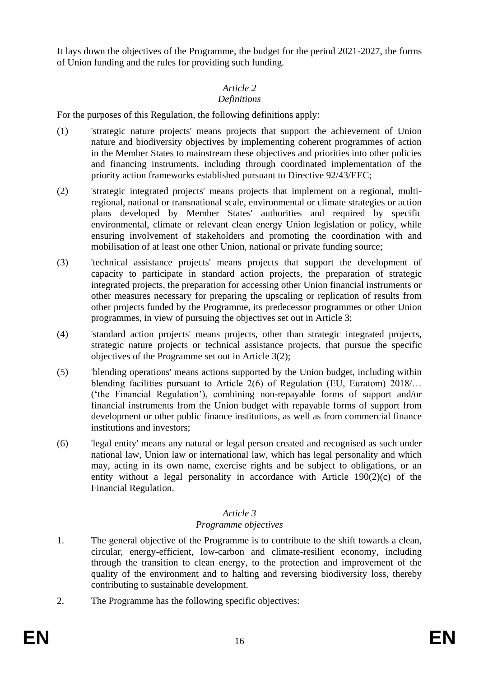It lays down the objectives of the Programme, the budget for the period 2021-2027, the forms of Union funding and the rules for providing such funding.

## *Article 2*

## *Definitions*

For the purposes of this Regulation, the following definitions apply:

- (1) 'strategic nature projects' means projects that support the achievement of Union nature and biodiversity objectives by implementing coherent programmes of action in the Member States to mainstream these objectives and priorities into other policies and financing instruments, including through coordinated implementation of the priority action frameworks established pursuant to Directive 92/43/EEC;
- (2) 'strategic integrated projects' means projects that implement on a regional, multiregional, national or transnational scale, environmental or climate strategies or action plans developed by Member States' authorities and required by specific environmental, climate or relevant clean energy Union legislation or policy, while ensuring involvement of stakeholders and promoting the coordination with and mobilisation of at least one other Union, national or private funding source;
- (3) 'technical assistance projects' means projects that support the development of capacity to participate in standard action projects, the preparation of strategic integrated projects, the preparation for accessing other Union financial instruments or other measures necessary for preparing the upscaling or replication of results from other projects funded by the Programme, its predecessor programmes or other Union programmes, in view of pursuing the objectives set out in Article 3;
- (4) 'standard action projects' means projects, other than strategic integrated projects, strategic nature projects or technical assistance projects, that pursue the specific objectives of the Programme set out in Article 3(2);
- (5) 'blending operations' means actions supported by the Union budget, including within blending facilities pursuant to Article 2(6) of Regulation (EU, Euratom) 2018/... ('the Financial Regulation'), combining non-repayable forms of support and/or financial instruments from the Union budget with repayable forms of support from development or other public finance institutions, as well as from commercial finance institutions and investors;
- (6) 'legal entity' means any natural or legal person created and recognised as such under national law, Union law or international law, which has legal personality and which may, acting in its own name, exercise rights and be subject to obligations, or an entity without a legal personality in accordance with Article 190(2)(c) of the Financial Regulation.

#### *Article 3*

## *Programme objectives*

- 1. The general objective of the Programme is to contribute to the shift towards a clean, circular, energy-efficient, low-carbon and climate-resilient economy, including through the transition to clean energy, to the protection and improvement of the quality of the environment and to halting and reversing biodiversity loss, thereby contributing to sustainable development.
- 2. The Programme has the following specific objectives: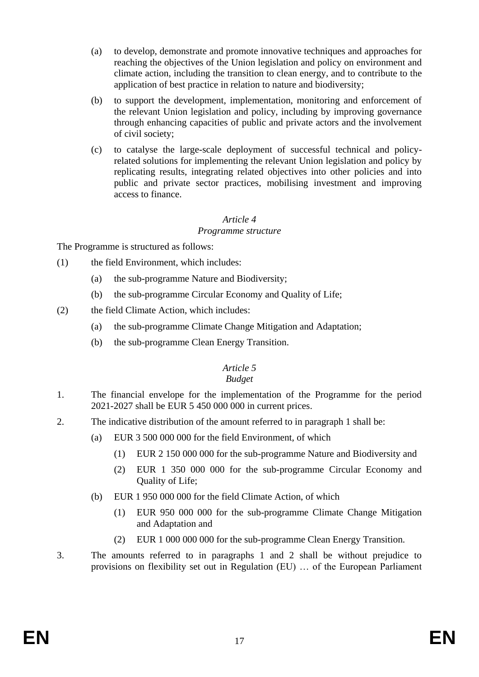- (a) to develop, demonstrate and promote innovative techniques and approaches for reaching the objectives of the Union legislation and policy on environment and climate action, including the transition to clean energy, and to contribute to the application of best practice in relation to nature and biodiversity;
- (b) to support the development, implementation, monitoring and enforcement of the relevant Union legislation and policy, including by improving governance through enhancing capacities of public and private actors and the involvement of civil society;
- (c) to catalyse the large-scale deployment of successful technical and policyrelated solutions for implementing the relevant Union legislation and policy by replicating results, integrating related objectives into other policies and into public and private sector practices, mobilising investment and improving access to finance.

#### *Article 4 Programme structure*

The Programme is structured as follows:

- (1) the field Environment, which includes:
	- (a) the sub-programme Nature and Biodiversity;
	- (b) the sub-programme Circular Economy and Quality of Life;
- (2) the field Climate Action, which includes:
	- (a) the sub-programme Climate Change Mitigation and Adaptation;
	- (b) the sub-programme Clean Energy Transition.

## *Article 5*

## *Budget*

- 1. The financial envelope for the implementation of the Programme for the period 2021-2027 shall be EUR 5 450 000 000 in current prices.
- 2. The indicative distribution of the amount referred to in paragraph 1 shall be:
	- (a) EUR 3 500 000 000 for the field Environment, of which
		- (1) EUR 2 150 000 000 for the sub-programme Nature and Biodiversity and
		- (2) EUR 1 350 000 000 for the sub-programme Circular Economy and Quality of Life;
	- (b) EUR 1 950 000 000 for the field Climate Action, of which
		- (1) EUR 950 000 000 for the sub-programme Climate Change Mitigation and Adaptation and
		- (2) EUR 1 000 000 000 for the sub-programme Clean Energy Transition.
- 3. The amounts referred to in paragraphs 1 and 2 shall be without prejudice to provisions on flexibility set out in Regulation (EU) … of the European Parliament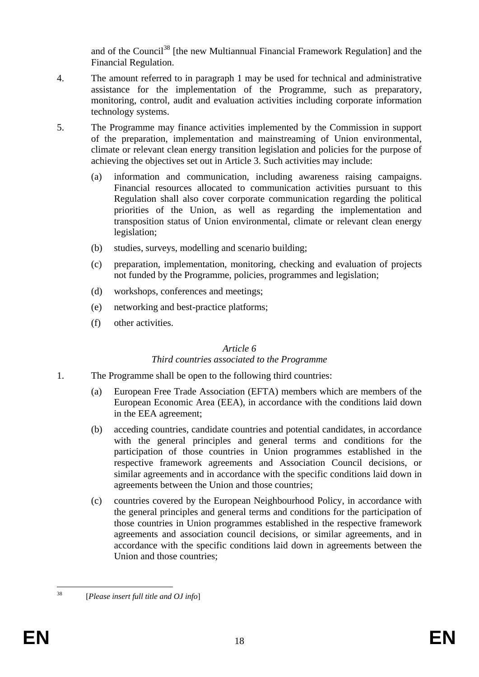and of the Council<sup>38</sup> [the new Multiannual Financial Framework Regulation] and the Financial Regulation.

- 4. The amount referred to in paragraph 1 may be used for technical and administrative assistance for the implementation of the Programme, such as preparatory, monitoring, control, audit and evaluation activities including corporate information technology systems.
- 5. The Programme may finance activities implemented by the Commission in support of the preparation, implementation and mainstreaming of Union environmental, climate or relevant clean energy transition legislation and policies for the purpose of achieving the objectives set out in Article 3. Such activities may include:
	- (a) information and communication, including awareness raising campaigns. Financial resources allocated to communication activities pursuant to this Regulation shall also cover corporate communication regarding the political priorities of the Union, as well as regarding the implementation and transposition status of Union environmental, climate or relevant clean energy legislation;
	- (b) studies, surveys, modelling and scenario building;
	- (c) preparation, implementation, monitoring, checking and evaluation of projects not funded by the Programme, policies, programmes and legislation;
	- (d) workshops, conferences and meetings;
	- (e) networking and best-practice platforms;
	- (f) other activities.

#### *Article 6*

#### *Third countries associated to the Programme*

- 1. The Programme shall be open to the following third countries:
	- (a) European Free Trade Association (EFTA) members which are members of the European Economic Area (EEA), in accordance with the conditions laid down in the EEA agreement;
	- (b) acceding countries, candidate countries and potential candidates, in accordance with the general principles and general terms and conditions for the participation of those countries in Union programmes established in the respective framework agreements and Association Council decisions, or similar agreements and in accordance with the specific conditions laid down in agreements between the Union and those countries;
	- (c) countries covered by the European Neighbourhood Policy, in accordance with the general principles and general terms and conditions for the participation of those countries in Union programmes established in the respective framework agreements and association council decisions, or similar agreements, and in accordance with the specific conditions laid down in agreements between the Union and those countries;

<sup>38</sup> <sup>38</sup> [*Please insert full title and OJ info*]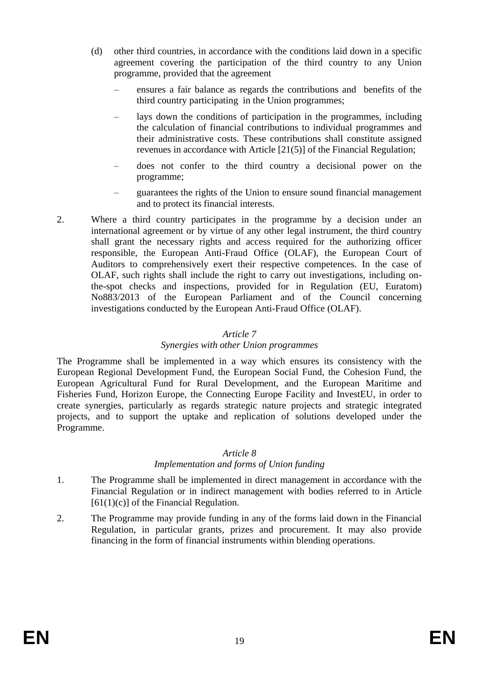- (d) other third countries, in accordance with the conditions laid down in a specific agreement covering the participation of the third country to any Union programme, provided that the agreement
	- ensures a fair balance as regards the contributions and benefits of the third country participating in the Union programmes;
	- lays down the conditions of participation in the programmes, including the calculation of financial contributions to individual programmes and their administrative costs. These contributions shall constitute assigned revenues in accordance with Article [21(5)] of the Financial Regulation;
	- does not confer to the third country a decisional power on the programme;
	- guarantees the rights of the Union to ensure sound financial management and to protect its financial interests.
- 2. Where a third country participates in the programme by a decision under an international agreement or by virtue of any other legal instrument, the third country shall grant the necessary rights and access required for the authorizing officer responsible, the European Anti-Fraud Office (OLAF), the European Court of Auditors to comprehensively exert their respective competences. In the case of OLAF, such rights shall include the right to carry out investigations, including onthe-spot checks and inspections, provided for in Regulation (EU, Euratom) No883/2013 of the European Parliament and of the Council concerning investigations conducted by the European Anti-Fraud Office (OLAF).

#### *Article 7*

#### *Synergies with other Union programmes*

The Programme shall be implemented in a way which ensures its consistency with the European Regional Development Fund, the European Social Fund, the Cohesion Fund, the European Agricultural Fund for Rural Development, and the European Maritime and Fisheries Fund, Horizon Europe, the Connecting Europe Facility and InvestEU, in order to create synergies, particularly as regards strategic nature projects and strategic integrated projects, and to support the uptake and replication of solutions developed under the Programme.

#### *Article 8*

#### *Implementation and forms of Union funding*

- 1. The Programme shall be implemented in direct management in accordance with the Financial Regulation or in indirect management with bodies referred to in Article  $[61(1)(c)]$  of the Financial Regulation.
- 2. The Programme may provide funding in any of the forms laid down in the Financial Regulation, in particular grants, prizes and procurement. It may also provide financing in the form of financial instruments within blending operations.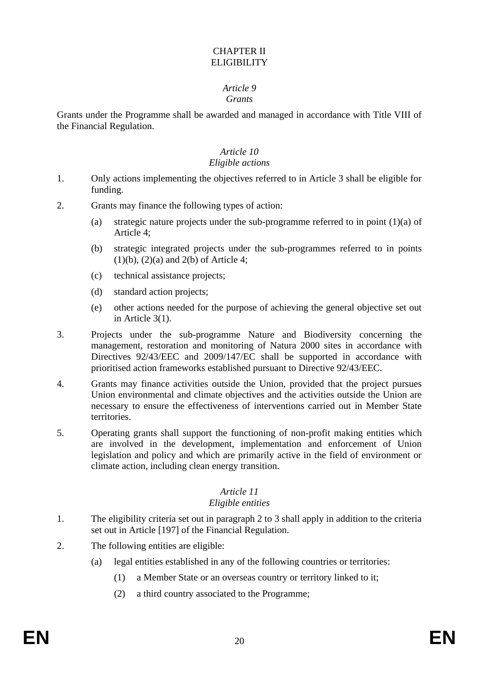## CHAPTER II **ELIGIBILITY**

# *Article 9*

#### *Grants*

Grants under the Programme shall be awarded and managed in accordance with Title VIII of the Financial Regulation.

#### *Article 10 Eligible actions*

- 1. Only actions implementing the objectives referred to in Article 3 shall be eligible for funding.
- 2. Grants may finance the following types of action:
	- (a) strategic nature projects under the sub-programme referred to in point (1)(a) of Article 4;
	- (b) strategic integrated projects under the sub-programmes referred to in points  $(1)(b)$ ,  $(2)(a)$  and  $2(b)$  of Article 4;
	- (c) technical assistance projects;
	- (d) standard action projects;
	- (e) other actions needed for the purpose of achieving the general objective set out in Article 3(1).
- 3. Projects under the sub-programme Nature and Biodiversity concerning the management, restoration and monitoring of Natura 2000 sites in accordance with Directives 92/43/EEC and 2009/147/EC shall be supported in accordance with prioritised action frameworks established pursuant to Directive 92/43/EEC.
- 4. Grants may finance activities outside the Union, provided that the project pursues Union environmental and climate objectives and the activities outside the Union are necessary to ensure the effectiveness of interventions carried out in Member State territories.
- 5. Operating grants shall support the functioning of non-profit making entities which are involved in the development, implementation and enforcement of Union legislation and policy and which are primarily active in the field of environment or climate action, including clean energy transition.

#### *Article 11*

#### *Eligible entities*

- 1. The eligibility criteria set out in paragraph 2 to 3 shall apply in addition to the criteria set out in Article [197] of the Financial Regulation.
- 2. The following entities are eligible:
	- (a) legal entities established in any of the following countries or territories:
		- (1) a Member State or an overseas country or territory linked to it;
		- (2) a third country associated to the Programme;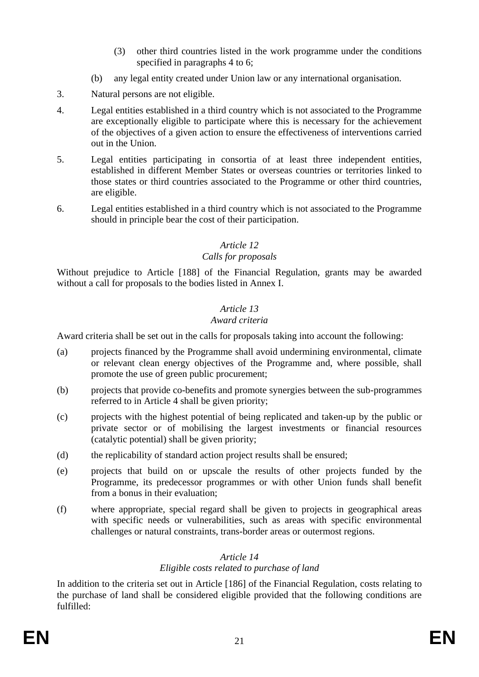- (3) other third countries listed in the work programme under the conditions specified in paragraphs 4 to 6;
- (b) any legal entity created under Union law or any international organisation.
- 3. Natural persons are not eligible.
- 4. Legal entities established in a third country which is not associated to the Programme are exceptionally eligible to participate where this is necessary for the achievement of the objectives of a given action to ensure the effectiveness of interventions carried out in the Union.
- 5. Legal entities participating in consortia of at least three independent entities, established in different Member States or overseas countries or territories linked to those states or third countries associated to the Programme or other third countries, are eligible.
- 6. Legal entities established in a third country which is not associated to the Programme should in principle bear the cost of their participation.

#### *Article 12*

## *Calls for proposals*

Without prejudice to Article [188] of the Financial Regulation, grants may be awarded without a call for proposals to the bodies listed in Annex I.

## *Article 13*

#### *Award criteria*

Award criteria shall be set out in the calls for proposals taking into account the following:

- (a) projects financed by the Programme shall avoid undermining environmental, climate or relevant clean energy objectives of the Programme and, where possible, shall promote the use of green public procurement;
- (b) projects that provide co-benefits and promote synergies between the sub-programmes referred to in Article 4 shall be given priority;
- (c) projects with the highest potential of being replicated and taken-up by the public or private sector or of mobilising the largest investments or financial resources (catalytic potential) shall be given priority;
- (d) the replicability of standard action project results shall be ensured;
- (e) projects that build on or upscale the results of other projects funded by the Programme, its predecessor programmes or with other Union funds shall benefit from a bonus in their evaluation;
- (f) where appropriate, special regard shall be given to projects in geographical areas with specific needs or vulnerabilities, such as areas with specific environmental challenges or natural constraints, trans-border areas or outermost regions.

#### *Article 14*

## *Eligible costs related to purchase of land*

In addition to the criteria set out in Article [186] of the Financial Regulation, costs relating to the purchase of land shall be considered eligible provided that the following conditions are fulfilled: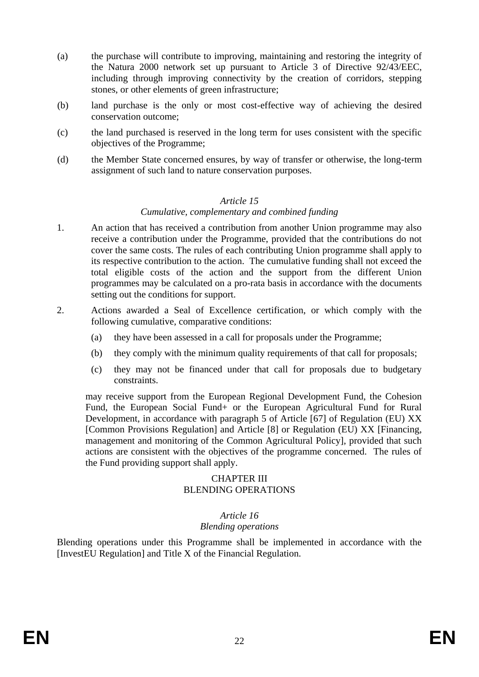- (a) the purchase will contribute to improving, maintaining and restoring the integrity of the Natura 2000 network set up pursuant to Article 3 of Directive 92/43/EEC, including through improving connectivity by the creation of corridors, stepping stones, or other elements of green infrastructure;
- (b) land purchase is the only or most cost-effective way of achieving the desired conservation outcome;
- (c) the land purchased is reserved in the long term for uses consistent with the specific objectives of the Programme;
- (d) the Member State concerned ensures, by way of transfer or otherwise, the long-term assignment of such land to nature conservation purposes.

#### *Article 15*

#### *Cumulative, complementary and combined funding*

- 1. An action that has received a contribution from another Union programme may also receive a contribution under the Programme, provided that the contributions do not cover the same costs. The rules of each contributing Union programme shall apply to its respective contribution to the action. The cumulative funding shall not exceed the total eligible costs of the action and the support from the different Union programmes may be calculated on a pro-rata basis in accordance with the documents setting out the conditions for support.
- 2. Actions awarded a Seal of Excellence certification, or which comply with the following cumulative, comparative conditions:
	- (a) they have been assessed in a call for proposals under the Programme;
	- (b) they comply with the minimum quality requirements of that call for proposals;
	- (c) they may not be financed under that call for proposals due to budgetary constraints.

may receive support from the European Regional Development Fund, the Cohesion Fund, the European Social Fund+ or the European Agricultural Fund for Rural Development, in accordance with paragraph 5 of Article [67] of Regulation (EU) XX [Common Provisions Regulation] and Article [8] or Regulation (EU) XX [Financing, management and monitoring of the Common Agricultural Policy], provided that such actions are consistent with the objectives of the programme concerned. The rules of the Fund providing support shall apply.

#### CHAPTER III BLENDING OPERATIONS

#### *Article 16*

#### *Blending operations*

Blending operations under this Programme shall be implemented in accordance with the [InvestEU Regulation] and Title X of the Financial Regulation.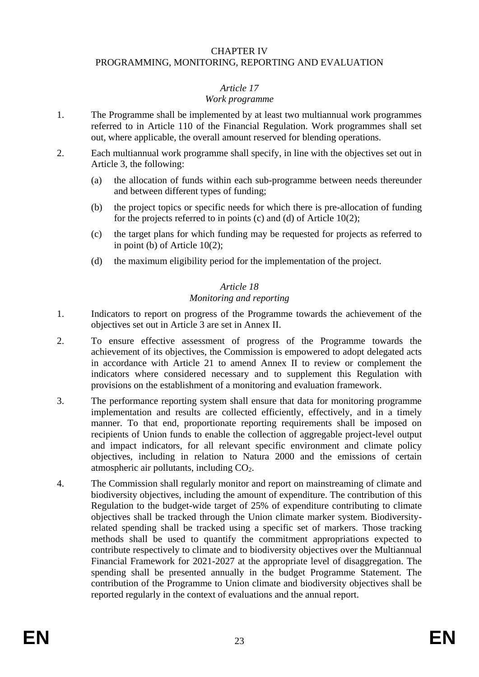#### CHAPTER IV

#### PROGRAMMING, MONITORING, REPORTING AND EVALUATION

#### *Article 17*

#### *Work programme*

- 1. The Programme shall be implemented by at least two multiannual work programmes referred to in Article 110 of the Financial Regulation. Work programmes shall set out, where applicable, the overall amount reserved for blending operations.
- 2. Each multiannual work programme shall specify, in line with the objectives set out in Article 3, the following:
	- (a) the allocation of funds within each sub-programme between needs thereunder and between different types of funding;
	- (b) the project topics or specific needs for which there is pre-allocation of funding for the projects referred to in points (c) and (d) of Article 10(2);
	- (c) the target plans for which funding may be requested for projects as referred to in point (b) of Article 10(2);
	- (d) the maximum eligibility period for the implementation of the project.

#### *Article 18 Monitoring and reporting*

- 1. Indicators to report on progress of the Programme towards the achievement of the objectives set out in Article 3 are set in Annex II.
- 2. To ensure effective assessment of progress of the Programme towards the achievement of its objectives, the Commission is empowered to adopt delegated acts in accordance with Article 21 to amend Annex II to review or complement the indicators where considered necessary and to supplement this Regulation with provisions on the establishment of a monitoring and evaluation framework.
- 3. The performance reporting system shall ensure that data for monitoring programme implementation and results are collected efficiently, effectively, and in a timely manner. To that end, proportionate reporting requirements shall be imposed on recipients of Union funds to enable the collection of aggregable project-level output and impact indicators, for all relevant specific environment and climate policy objectives, including in relation to Natura 2000 and the emissions of certain atmospheric air pollutants, including  $CO<sub>2</sub>$ .
- 4. The Commission shall regularly monitor and report on mainstreaming of climate and biodiversity objectives, including the amount of expenditure. The contribution of this Regulation to the budget-wide target of 25% of expenditure contributing to climate objectives shall be tracked through the Union climate marker system. Biodiversityrelated spending shall be tracked using a specific set of markers. Those tracking methods shall be used to quantify the commitment appropriations expected to contribute respectively to climate and to biodiversity objectives over the Multiannual Financial Framework for 2021-2027 at the appropriate level of disaggregation. The spending shall be presented annually in the budget Programme Statement. The contribution of the Programme to Union climate and biodiversity objectives shall be reported regularly in the context of evaluations and the annual report.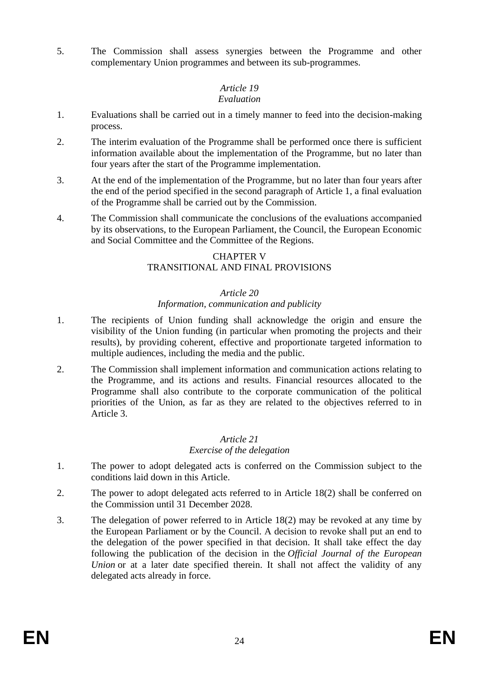5. The Commission shall assess synergies between the Programme and other complementary Union programmes and between its sub-programmes.

# *Article 19*

## *Evaluation*

- 1. Evaluations shall be carried out in a timely manner to feed into the decision-making process.
- 2. The interim evaluation of the Programme shall be performed once there is sufficient information available about the implementation of the Programme, but no later than four years after the start of the Programme implementation.
- 3. At the end of the implementation of the Programme, but no later than four years after the end of the period specified in the second paragraph of Article 1, a final evaluation of the Programme shall be carried out by the Commission.
- 4. The Commission shall communicate the conclusions of the evaluations accompanied by its observations, to the European Parliament, the Council, the European Economic and Social Committee and the Committee of the Regions.

#### CHAPTER V TRANSITIONAL AND FINAL PROVISIONS

## *Article 20*

## *Information, communication and publicity*

- 1. The recipients of Union funding shall acknowledge the origin and ensure the visibility of the Union funding (in particular when promoting the projects and their results), by providing coherent, effective and proportionate targeted information to multiple audiences, including the media and the public.
- 2. The Commission shall implement information and communication actions relating to the Programme, and its actions and results. Financial resources allocated to the Programme shall also contribute to the corporate communication of the political priorities of the Union, as far as they are related to the objectives referred to in Article 3.

#### *Article 21 Exercise of the delegation*

- 1. The power to adopt delegated acts is conferred on the Commission subject to the conditions laid down in this Article.
- 2. The power to adopt delegated acts referred to in Article 18(2) shall be conferred on the Commission until 31 December 2028.
- 3. The delegation of power referred to in Article 18(2) may be revoked at any time by the European Parliament or by the Council. A decision to revoke shall put an end to the delegation of the power specified in that decision. It shall take effect the day following the publication of the decision in the *Official Journal of the European Union* or at a later date specified therein. It shall not affect the validity of any delegated acts already in force.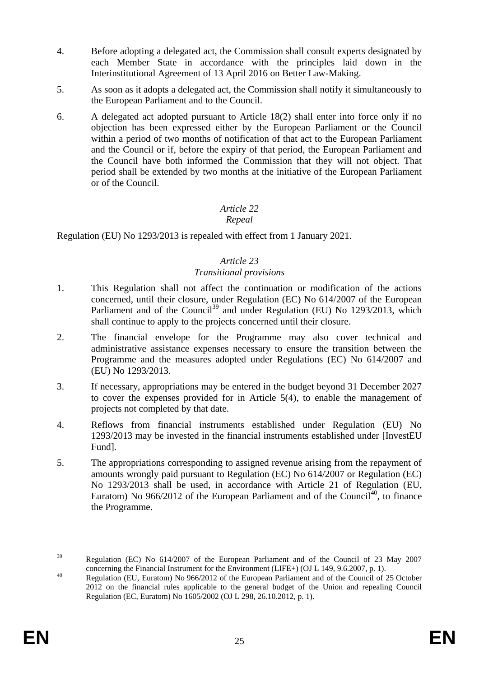- 4. Before adopting a delegated act, the Commission shall consult experts designated by each Member State in accordance with the principles laid down in the Interinstitutional Agreement of 13 April 2016 on Better Law-Making.
- 5. As soon as it adopts a delegated act, the Commission shall notify it simultaneously to the European Parliament and to the Council.
- 6. A delegated act adopted pursuant to Article 18(2) shall enter into force only if no objection has been expressed either by the European Parliament or the Council within a period of two months of notification of that act to the European Parliament and the Council or if, before the expiry of that period, the European Parliament and the Council have both informed the Commission that they will not object. That period shall be extended by two months at the initiative of the European Parliament or of the Council.

## *Article 22*

## *Repeal*

Regulation (EU) No 1293/2013 is repealed with effect from 1 January 2021.

## *Article 23*

#### *Transitional provisions*

- 1. This Regulation shall not affect the continuation or modification of the actions concerned, until their closure, under Regulation (EC) No 614/2007 of the European Parliament and of the Council<sup>39</sup> and under Regulation (EU) No 1293/2013, which shall continue to apply to the projects concerned until their closure.
- 2. The financial envelope for the Programme may also cover technical and administrative assistance expenses necessary to ensure the transition between the Programme and the measures adopted under Regulations (EC) No 614/2007 and (EU) No 1293/2013.
- 3. If necessary, appropriations may be entered in the budget beyond 31 December 2027 to cover the expenses provided for in Article 5(4), to enable the management of projects not completed by that date.
- 4. Reflows from financial instruments established under Regulation (EU) No 1293/2013 may be invested in the financial instruments established under [InvestEU Fund].
- 5. The appropriations corresponding to assigned revenue arising from the repayment of amounts wrongly paid pursuant to Regulation (EC) No 614/2007 or Regulation (EC) No 1293/2013 shall be used, in accordance with Article 21 of Regulation (EU, Euratom) No  $966/2012$  of the European Parliament and of the Council<sup>40</sup>, to finance the Programme.

 $39$ <sup>39</sup> Regulation (EC) No 614/2007 of the European Parliament and of the Council of 23 May 2007 concerning the Financial Instrument for the Environment (LIFE+) (OJ L 149, 9.6.2007, p. 1).

<sup>40</sup> Regulation (EU, Euratom) No 966/2012 of the European Parliament and of the Council of 25 October 2012 on the financial rules applicable to the general budget of the Union and repealing Council Regulation (EC, Euratom) No 1605/2002 (OJ L 298, 26.10.2012, p. 1).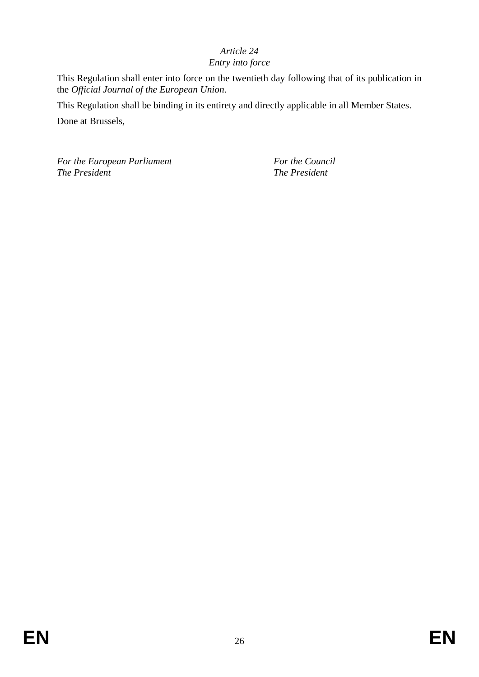## *Article 24*

## *Entry into force*

This Regulation shall enter into force on the twentieth day following that of its publication in the *Official Journal of the European Union*.

This Regulation shall be binding in its entirety and directly applicable in all Member States. Done at Brussels,

*For the European Parliament For the Council For the Council The President The President The President The President*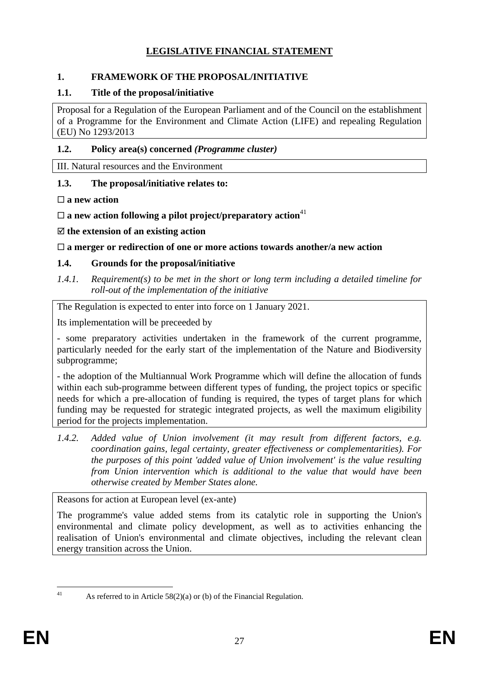## **LEGISLATIVE FINANCIAL STATEMENT**

## **1. FRAMEWORK OF THE PROPOSAL/INITIATIVE**

#### **1.1. Title of the proposal/initiative**

Proposal for a Regulation of the European Parliament and of the Council on the establishment of a Programme for the Environment and Climate Action (LIFE) and repealing Regulation (EU) No 1293/2013

#### **1.2. Policy area(s) concerned** *(Programme cluster)*

III. Natural resources and the Environment

#### **1.3. The proposal/initiative relates to:**

**a new action**

 $\Box$  **a** new action following a pilot project/preparatory action<sup>41</sup>

**the extension of an existing action**

#### **a merger or redirection of one or more actions towards another/a new action**

#### **1.4. Grounds for the proposal/initiative**

*1.4.1. Requirement(s) to be met in the short or long term including a detailed timeline for roll-out of the implementation of the initiative*

The Regulation is expected to enter into force on 1 January 2021.

Its implementation will be preceeded by

- some preparatory activities undertaken in the framework of the current programme, particularly needed for the early start of the implementation of the Nature and Biodiversity subprogramme;

- the adoption of the Multiannual Work Programme which will define the allocation of funds within each sub-programme between different types of funding, the project topics or specific needs for which a pre-allocation of funding is required, the types of target plans for which funding may be requested for strategic integrated projects, as well the maximum eligibility period for the projects implementation.

*1.4.2. Added value of Union involvement (it may result from different factors, e.g. coordination gains, legal certainty, greater effectiveness or complementarities). For the purposes of this point 'added value of Union involvement' is the value resulting from Union intervention which is additional to the value that would have been otherwise created by Member States alone.*

Reasons for action at European level (ex-ante)

The programme's value added stems from its catalytic role in supporting the Union's environmental and climate policy development, as well as to activities enhancing the realisation of Union's environmental and climate objectives, including the relevant clean energy transition across the Union.

 $41$ 

As referred to in Article  $58(2)(a)$  or (b) of the Financial Regulation.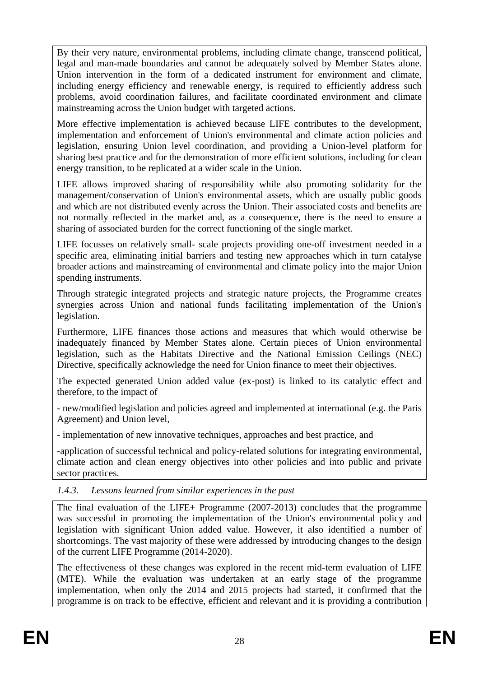By their very nature, environmental problems, including climate change, transcend political, legal and man-made boundaries and cannot be adequately solved by Member States alone. Union intervention in the form of a dedicated instrument for environment and climate, including energy efficiency and renewable energy, is required to efficiently address such problems, avoid coordination failures, and facilitate coordinated environment and climate mainstreaming across the Union budget with targeted actions.

More effective implementation is achieved because LIFE contributes to the development, implementation and enforcement of Union's environmental and climate action policies and legislation, ensuring Union level coordination, and providing a Union-level platform for sharing best practice and for the demonstration of more efficient solutions, including for clean energy transition, to be replicated at a wider scale in the Union.

LIFE allows improved sharing of responsibility while also promoting solidarity for the management/conservation of Union's environmental assets, which are usually public goods and which are not distributed evenly across the Union. Their associated costs and benefits are not normally reflected in the market and, as a consequence, there is the need to ensure a sharing of associated burden for the correct functioning of the single market.

LIFE focusses on relatively small- scale projects providing one-off investment needed in a specific area, eliminating initial barriers and testing new approaches which in turn catalyse broader actions and mainstreaming of environmental and climate policy into the major Union spending instruments.

Through strategic integrated projects and strategic nature projects, the Programme creates synergies across Union and national funds facilitating implementation of the Union's legislation.

Furthermore, LIFE finances those actions and measures that which would otherwise be inadequately financed by Member States alone. Certain pieces of Union environmental legislation, such as the Habitats Directive and the National Emission Ceilings (NEC) Directive, specifically acknowledge the need for Union finance to meet their objectives.

The expected generated Union added value (ex-post) is linked to its catalytic effect and therefore, to the impact of

- new/modified legislation and policies agreed and implemented at international (e.g. the Paris Agreement) and Union level,

- implementation of new innovative techniques, approaches and best practice, and

-application of successful technical and policy-related solutions for integrating environmental, climate action and clean energy objectives into other policies and into public and private sector practices.

## *1.4.3. Lessons learned from similar experiences in the past*

The final evaluation of the LIFE+ Programme (2007-2013) concludes that the programme was successful in promoting the implementation of the Union's environmental policy and legislation with significant Union added value. However, it also identified a number of shortcomings. The vast majority of these were addressed by introducing changes to the design of the current LIFE Programme (2014-2020).

The effectiveness of these changes was explored in the recent mid-term evaluation of LIFE (MTE). While the evaluation was undertaken at an early stage of the programme implementation, when only the 2014 and 2015 projects had started, it confirmed that the programme is on track to be effective, efficient and relevant and it is providing a contribution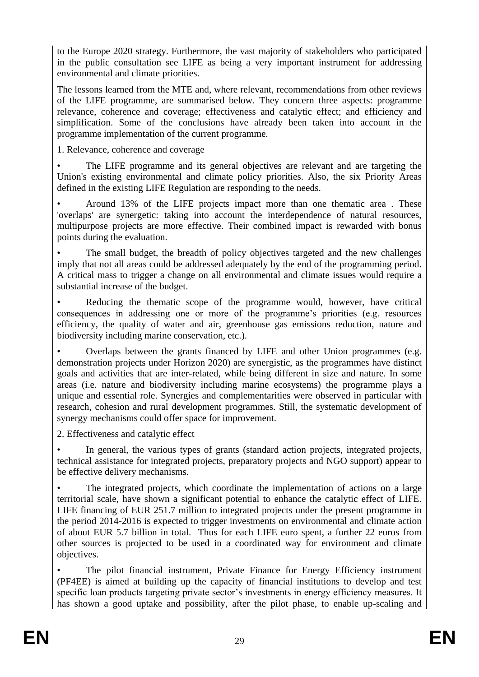to the Europe 2020 strategy. Furthermore, the vast majority of stakeholders who participated in the public consultation see LIFE as being a very important instrument for addressing environmental and climate priorities.

The lessons learned from the MTE and, where relevant, recommendations from other reviews of the LIFE programme, are summarised below. They concern three aspects: programme relevance, coherence and coverage; effectiveness and catalytic effect; and efficiency and simplification. Some of the conclusions have already been taken into account in the programme implementation of the current programme.

1. Relevance, coherence and coverage

The LIFE programme and its general objectives are relevant and are targeting the Union's existing environmental and climate policy priorities. Also, the six Priority Areas defined in the existing LIFE Regulation are responding to the needs.

• Around 13% of the LIFE projects impact more than one thematic area . These 'overlaps' are synergetic: taking into account the interdependence of natural resources, multipurpose projects are more effective. Their combined impact is rewarded with bonus points during the evaluation.

The small budget, the breadth of policy objectives targeted and the new challenges imply that not all areas could be addressed adequately by the end of the programming period. A critical mass to trigger a change on all environmental and climate issues would require a substantial increase of the budget.

Reducing the thematic scope of the programme would, however, have critical consequences in addressing one or more of the programme's priorities (e.g. resources efficiency, the quality of water and air, greenhouse gas emissions reduction, nature and biodiversity including marine conservation, etc.).

• Overlaps between the grants financed by LIFE and other Union programmes (e.g. demonstration projects under Horizon 2020) are synergistic, as the programmes have distinct goals and activities that are inter-related, while being different in size and nature. In some areas (i.e. nature and biodiversity including marine ecosystems) the programme plays a unique and essential role. Synergies and complementarities were observed in particular with research, cohesion and rural development programmes. Still, the systematic development of synergy mechanisms could offer space for improvement.

2. Effectiveness and catalytic effect

In general, the various types of grants (standard action projects, integrated projects, technical assistance for integrated projects, preparatory projects and NGO support) appear to be effective delivery mechanisms.

The integrated projects, which coordinate the implementation of actions on a large territorial scale, have shown a significant potential to enhance the catalytic effect of LIFE. LIFE financing of EUR 251.7 million to integrated projects under the present programme in the period 2014-2016 is expected to trigger investments on environmental and climate action of about EUR 5.7 billion in total. Thus for each LIFE euro spent, a further 22 euros from other sources is projected to be used in a coordinated way for environment and climate objectives.

• The pilot financial instrument, Private Finance for Energy Efficiency instrument (PF4EE) is aimed at building up the capacity of financial institutions to develop and test specific loan products targeting private sector's investments in energy efficiency measures. It has shown a good uptake and possibility, after the pilot phase, to enable up-scaling and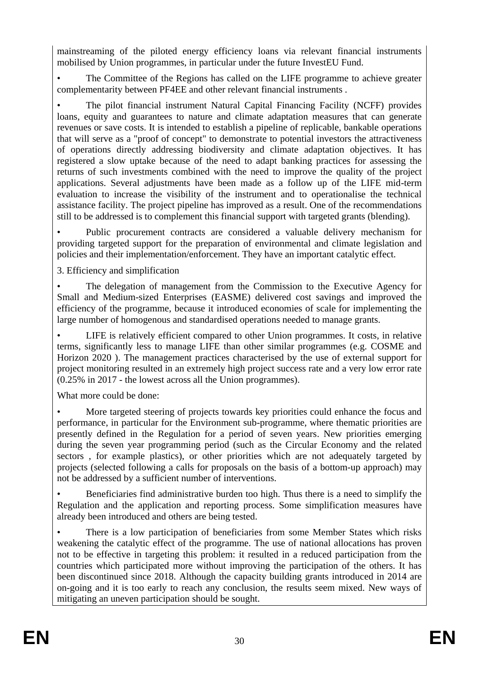mainstreaming of the piloted energy efficiency loans via relevant financial instruments mobilised by Union programmes, in particular under the future InvestEU Fund.

• The Committee of the Regions has called on the LIFE programme to achieve greater complementarity between PF4EE and other relevant financial instruments .

• The pilot financial instrument Natural Capital Financing Facility (NCFF) provides loans, equity and guarantees to nature and climate adaptation measures that can generate revenues or save costs. It is intended to establish a pipeline of replicable, bankable operations that will serve as a "proof of concept" to demonstrate to potential investors the attractiveness of operations directly addressing biodiversity and climate adaptation objectives. It has registered a slow uptake because of the need to adapt banking practices for assessing the returns of such investments combined with the need to improve the quality of the project applications. Several adjustments have been made as a follow up of the LIFE mid-term evaluation to increase the visibility of the instrument and to operationalise the technical assistance facility. The project pipeline has improved as a result. One of the recommendations still to be addressed is to complement this financial support with targeted grants (blending).

• Public procurement contracts are considered a valuable delivery mechanism for providing targeted support for the preparation of environmental and climate legislation and policies and their implementation/enforcement. They have an important catalytic effect.

3. Efficiency and simplification

• The delegation of management from the Commission to the Executive Agency for Small and Medium-sized Enterprises (EASME) delivered cost savings and improved the efficiency of the programme, because it introduced economies of scale for implementing the large number of homogenous and standardised operations needed to manage grants.

• LIFE is relatively efficient compared to other Union programmes. It costs, in relative terms, significantly less to manage LIFE than other similar programmes (e.g. COSME and Horizon 2020 ). The management practices characterised by the use of external support for project monitoring resulted in an extremely high project success rate and a very low error rate (0.25% in 2017 - the lowest across all the Union programmes).

What more could be done:

More targeted steering of projects towards key priorities could enhance the focus and performance, in particular for the Environment sub-programme, where thematic priorities are presently defined in the Regulation for a period of seven years. New priorities emerging during the seven year programming period (such as the Circular Economy and the related sectors , for example plastics), or other priorities which are not adequately targeted by projects (selected following a calls for proposals on the basis of a bottom-up approach) may not be addressed by a sufficient number of interventions.

• Beneficiaries find administrative burden too high. Thus there is a need to simplify the Regulation and the application and reporting process. Some simplification measures have already been introduced and others are being tested.

• There is a low participation of beneficiaries from some Member States which risks weakening the catalytic effect of the programme. The use of national allocations has proven not to be effective in targeting this problem: it resulted in a reduced participation from the countries which participated more without improving the participation of the others. It has been discontinued since 2018. Although the capacity building grants introduced in 2014 are on-going and it is too early to reach any conclusion, the results seem mixed. New ways of mitigating an uneven participation should be sought.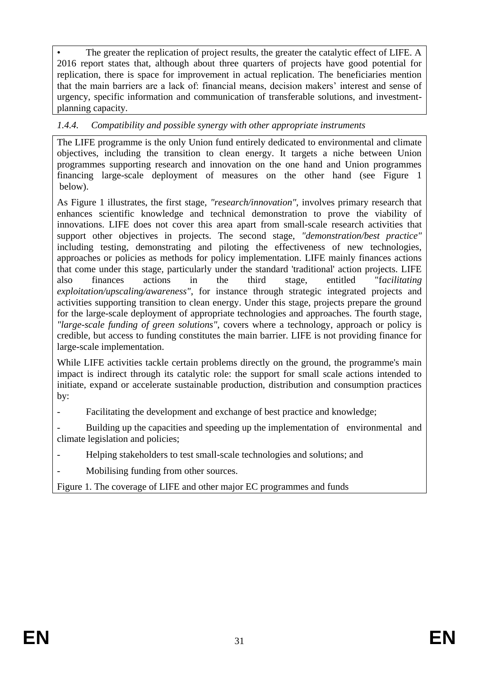The greater the replication of project results, the greater the catalytic effect of LIFE. A 2016 report states that, although about three quarters of projects have good potential for replication, there is space for improvement in actual replication. The beneficiaries mention that the main barriers are a lack of: financial means, decision makers' interest and sense of urgency, specific information and communication of transferable solutions, and investmentplanning capacity.

## *1.4.4. Compatibility and possible synergy with other appropriate instruments*

The LIFE programme is the only Union fund entirely dedicated to environmental and climate objectives, including the transition to clean energy. It targets a niche between Union programmes supporting research and innovation on the one hand and Union programmes financing large-scale deployment of measures on the other hand (see Figure 1 below).

As Figure 1 illustrates, the first stage, *"research/innovation"*, involves primary research that enhances scientific knowledge and technical demonstration to prove the viability of innovations. LIFE does not cover this area apart from small-scale research activities that support other objectives in projects. The second stage, *"demonstration/best practice"* including testing, demonstrating and piloting the effectiveness of new technologies, approaches or policies as methods for policy implementation. LIFE mainly finances actions that come under this stage, particularly under the standard 'traditional' action projects. LIFE also finances actions in the third stage, entitled "f*acilitating exploitation/upscaling/awareness"*, for instance through strategic integrated projects and activities supporting transition to clean energy. Under this stage, projects prepare the ground for the large-scale deployment of appropriate technologies and approaches. The fourth stage, *"large-scale funding of green solutions"*, covers where a technology, approach or policy is credible, but access to funding constitutes the main barrier. LIFE is not providing finance for large-scale implementation.

While LIFE activities tackle certain problems directly on the ground, the programme's main impact is indirect through its catalytic role: the support for small scale actions intended to initiate, expand or accelerate sustainable production, distribution and consumption practices by:

- Facilitating the development and exchange of best practice and knowledge;

Building up the capacities and speeding up the implementation of environmental and climate legislation and policies;

- Helping stakeholders to test small-scale technologies and solutions; and
- Mobilising funding from other sources.

Figure 1. The coverage of LIFE and other major EC programmes and funds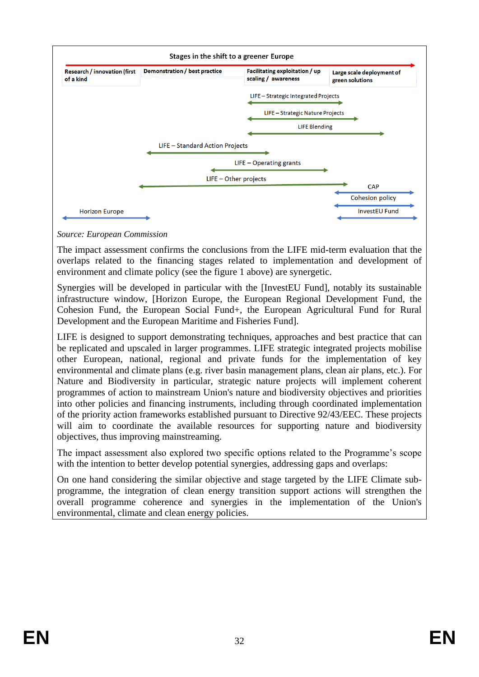

*Source: European Commission*

The impact assessment confirms the conclusions from the LIFE mid-term evaluation that the overlaps related to the financing stages related to implementation and development of environment and climate policy (see the figure 1 above) are synergetic.

Synergies will be developed in particular with the [InvestEU Fund], notably its sustainable infrastructure window, [Horizon Europe, the European Regional Development Fund, the Cohesion Fund, the European Social Fund+, the European Agricultural Fund for Rural Development and the European Maritime and Fisheries Fund].

LIFE is designed to support demonstrating techniques, approaches and best practice that can be replicated and upscaled in larger programmes. LIFE strategic integrated projects mobilise other European, national, regional and private funds for the implementation of key environmental and climate plans (e.g. river basin management plans, clean air plans, etc.). For Nature and Biodiversity in particular, strategic nature projects will implement coherent programmes of action to mainstream Union's nature and biodiversity objectives and priorities into other policies and financing instruments, including through coordinated implementation of the priority action frameworks established pursuant to Directive 92/43/EEC. These projects will aim to coordinate the available resources for supporting nature and biodiversity objectives, thus improving mainstreaming.

The impact assessment also explored two specific options related to the Programme's scope with the intention to better develop potential synergies, addressing gaps and overlaps:

On one hand considering the similar objective and stage targeted by the LIFE Climate subprogramme, the integration of clean energy transition support actions will strengthen the overall programme coherence and synergies in the implementation of the Union's environmental, climate and clean energy policies.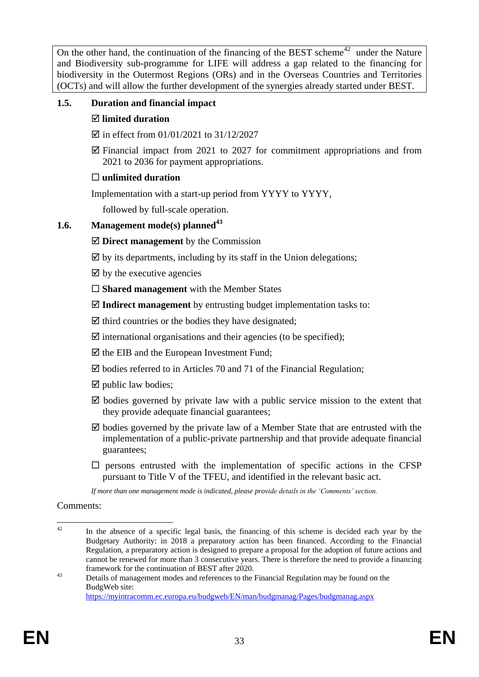On the other hand, the continuation of the financing of the BEST scheme<sup>42</sup> under the Nature and Biodiversity sub-programme for LIFE will address a gap related to the financing for biodiversity in the Outermost Regions (ORs) and in the Overseas Countries and Territories (OCTs) and will allow the further development of the synergies already started under BEST.

## **1.5. Duration and financial impact**

## **limited duration**

- $\boxtimes$  in effect from 01/01/2021 to 31/12/2027
- $\boxtimes$  Financial impact from 2021 to 2027 for commitment appropriations and from 2021 to 2036 for payment appropriations.

## **unlimited duration**

Implementation with a start-up period from YYYY to YYYY,

followed by full-scale operation.

## **1.6. Management mode(s) planned<sup>43</sup>**

- **Direct management** by the Commission
- $\boxtimes$  by its departments, including by its staff in the Union delegations;
- $\boxtimes$  by the executive agencies
- **Shared management** with the Member States
- **Indirect management** by entrusting budget implementation tasks to:
- $\triangledown$  third countries or the bodies they have designated;
- $\overline{\mathcal{Q}}$  international organisations and their agencies (to be specified);
- $\boxtimes$  the EIB and the European Investment Fund;
- $\boxtimes$  bodies referred to in Articles 70 and 71 of the Financial Regulation;
- $\boxtimes$  public law bodies;
- $\boxtimes$  bodies governed by private law with a public service mission to the extent that they provide adequate financial guarantees;
- $\boxtimes$  bodies governed by the private law of a Member State that are entrusted with the implementation of a public-private partnership and that provide adequate financial guarantees;
- $\square$  persons entrusted with the implementation of specific actions in the CFSP pursuant to Title V of the TFEU, and identified in the relevant basic act.

*If more than one management mode is indicated, please provide details in the 'Comments' section.*

Comments:

 $42^{\circ}$ In the absence of a specific legal basis, the financing of this scheme is decided each year by the Budgetary Authority: in 2018 a preparatory action has been financed. According to the Financial Regulation, a preparatory action is designed to prepare a proposal for the adoption of future actions and cannot be renewed for more than 3 consecutive years. There is therefore the need to provide a financing framework for the continuation of BEST after 2020.

<sup>&</sup>lt;sup>43</sup> Details of management modes and references to the Financial Regulation may be found on the BudgWeb site: <https://myintracomm.ec.europa.eu/budgweb/EN/man/budgmanag/Pages/budgmanag.aspx>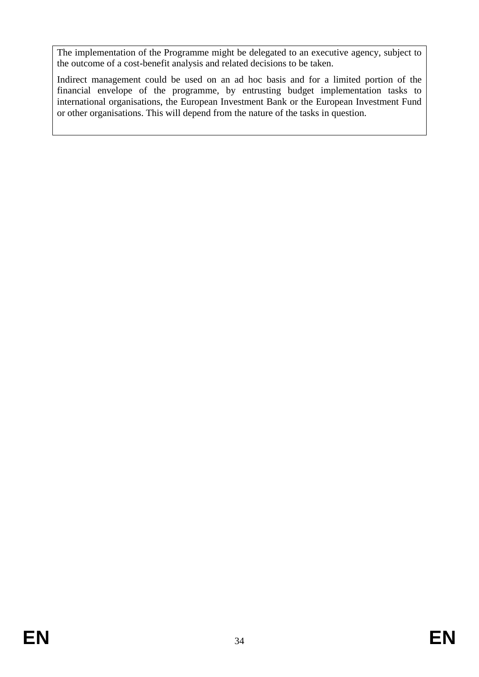The implementation of the Programme might be delegated to an executive agency, subject to the outcome of a cost-benefit analysis and related decisions to be taken.

Indirect management could be used on an ad hoc basis and for a limited portion of the financial envelope of the programme, by entrusting budget implementation tasks to international organisations, the European Investment Bank or the European Investment Fund or other organisations. This will depend from the nature of the tasks in question.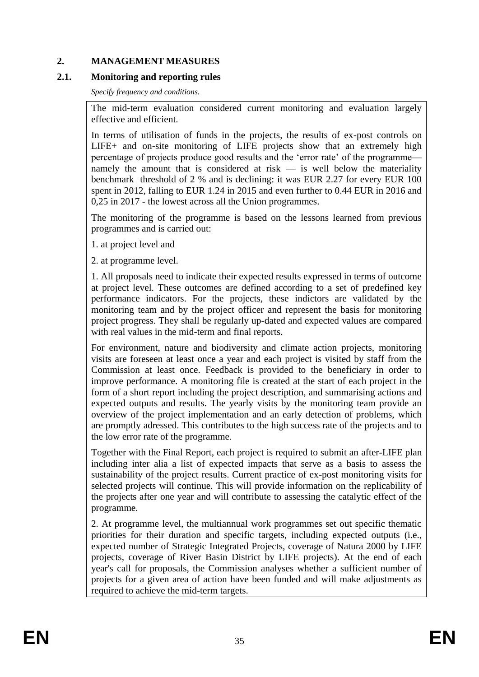#### **2. MANAGEMENT MEASURES**

#### **2.1. Monitoring and reporting rules**

*Specify frequency and conditions.*

The mid-term evaluation considered current monitoring and evaluation largely effective and efficient.

In terms of utilisation of funds in the projects, the results of ex-post controls on LIFE+ and on-site monitoring of LIFE projects show that an extremely high percentage of projects produce good results and the 'error rate' of the programme namely the amount that is considered at risk  $-$  is well below the materiality benchmark threshold of 2 % and is declining: it was EUR 2.27 for every EUR 100 spent in 2012, falling to EUR 1.24 in 2015 and even further to 0.44 EUR in 2016 and 0,25 in 2017 - the lowest across all the Union programmes.

The monitoring of the programme is based on the lessons learned from previous programmes and is carried out:

1. at project level and

2. at programme level.

1. All proposals need to indicate their expected results expressed in terms of outcome at project level. These outcomes are defined according to a set of predefined key performance indicators. For the projects, these indictors are validated by the monitoring team and by the project officer and represent the basis for monitoring project progress. They shall be regularly up-dated and expected values are compared with real values in the mid-term and final reports.

For environment, nature and biodiversity and climate action projects, monitoring visits are foreseen at least once a year and each project is visited by staff from the Commission at least once. Feedback is provided to the beneficiary in order to improve performance. A monitoring file is created at the start of each project in the form of a short report including the project description, and summarising actions and expected outputs and results. The yearly visits by the monitoring team provide an overview of the project implementation and an early detection of problems, which are promptly adressed. This contributes to the high success rate of the projects and to the low error rate of the programme.

Together with the Final Report, each project is required to submit an after-LIFE plan including inter alia a list of expected impacts that serve as a basis to assess the sustainability of the project results. Current practice of ex-post monitoring visits for selected projects will continue. This will provide information on the replicability of the projects after one year and will contribute to assessing the catalytic effect of the programme.

2. At programme level, the multiannual work programmes set out specific thematic priorities for their duration and specific targets, including expected outputs (i.e., expected number of Strategic Integrated Projects, coverage of Natura 2000 by LIFE projects, coverage of River Basin District by LIFE projects). At the end of each year's call for proposals, the Commission analyses whether a sufficient number of projects for a given area of action have been funded and will make adjustments as required to achieve the mid-term targets.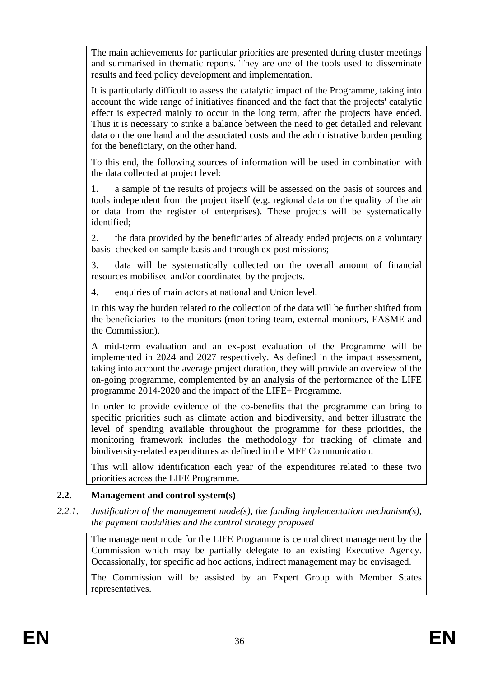The main achievements for particular priorities are presented during cluster meetings and summarised in thematic reports. They are one of the tools used to disseminate results and feed policy development and implementation.

It is particularly difficult to assess the catalytic impact of the Programme, taking into account the wide range of initiatives financed and the fact that the projects' catalytic effect is expected mainly to occur in the long term, after the projects have ended. Thus it is necessary to strike a balance between the need to get detailed and relevant data on the one hand and the associated costs and the administrative burden pending for the beneficiary, on the other hand.

To this end, the following sources of information will be used in combination with the data collected at project level:

1. a sample of the results of projects will be assessed on the basis of sources and tools independent from the project itself (e.g. regional data on the quality of the air or data from the register of enterprises). These projects will be systematically identified;

2. the data provided by the beneficiaries of already ended projects on a voluntary basis checked on sample basis and through ex-post missions;

3. data will be systematically collected on the overall amount of financial resources mobilised and/or coordinated by the projects.

4. enquiries of main actors at national and Union level.

In this way the burden related to the collection of the data will be further shifted from the beneficiaries to the monitors (monitoring team, external monitors, EASME and the Commission).

A mid-term evaluation and an ex-post evaluation of the Programme will be implemented in 2024 and 2027 respectively. As defined in the impact assessment, taking into account the average project duration, they will provide an overview of the on-going programme, complemented by an analysis of the performance of the LIFE programme 2014-2020 and the impact of the LIFE+ Programme.

In order to provide evidence of the co-benefits that the programme can bring to specific priorities such as climate action and biodiversity, and better illustrate the level of spending available throughout the programme for these priorities, the monitoring framework includes the methodology for tracking of climate and biodiversity-related expenditures as defined in the MFF Communication.

This will allow identification each year of the expenditures related to these two priorities across the LIFE Programme.

## **2.2. Management and control system(s)**

#### *2.2.1. Justification of the management mode(s), the funding implementation mechanism(s), the payment modalities and the control strategy proposed*

The management mode for the LIFE Programme is central direct management by the Commission which may be partially delegate to an existing Executive Agency. Occassionally, for specific ad hoc actions, indirect management may be envisaged.

The Commission will be assisted by an Expert Group with Member States representatives.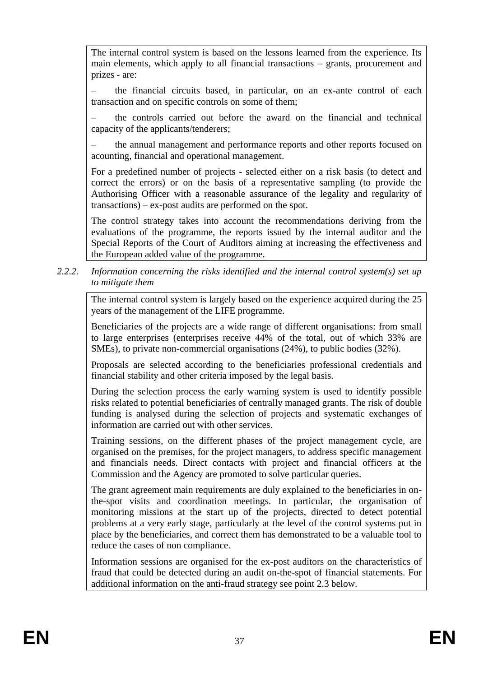The internal control system is based on the lessons learned from the experience. Its main elements, which apply to all financial transactions – grants, procurement and prizes - are:

– the financial circuits based, in particular, on an ex-ante control of each transaction and on specific controls on some of them;

– the controls carried out before the award on the financial and technical capacity of the applicants/tenderers;

– the annual management and performance reports and other reports focused on acounting, financial and operational management.

For a predefined number of projects - selected either on a risk basis (to detect and correct the errors) or on the basis of a representative sampling (to provide the Authorising Officer with a reasonable assurance of the legality and regularity of transactions) – ex-post audits are performed on the spot.

The control strategy takes into account the recommendations deriving from the evaluations of the programme, the reports issued by the internal auditor and the Special Reports of the Court of Auditors aiming at increasing the effectiveness and the European added value of the programme.

#### *2.2.2. Information concerning the risks identified and the internal control system(s) set up to mitigate them*

The internal control system is largely based on the experience acquired during the 25 years of the management of the LIFE programme.

Beneficiaries of the projects are a wide range of different organisations: from small to large enterprises (enterprises receive 44% of the total, out of which 33% are SMEs), to private non-commercial organisations (24%), to public bodies (32%).

Proposals are selected according to the beneficiaries professional credentials and financial stability and other criteria imposed by the legal basis.

During the selection process the early warning system is used to identify possible risks related to potential beneficiaries of centrally managed grants. The risk of double funding is analysed during the selection of projects and systematic exchanges of information are carried out with other services.

Training sessions, on the different phases of the project management cycle, are organised on the premises, for the project managers, to address specific management and financials needs. Direct contacts with project and financial officers at the Commission and the Agency are promoted to solve particular queries.

The grant agreement main requirements are duly explained to the beneficiaries in onthe-spot visits and coordination meetings. In particular, the organisation of monitoring missions at the start up of the projects, directed to detect potential problems at a very early stage, particularly at the level of the control systems put in place by the beneficiaries, and correct them has demonstrated to be a valuable tool to reduce the cases of non compliance.

Information sessions are organised for the ex-post auditors on the characteristics of fraud that could be detected during an audit on-the-spot of financial statements. For additional information on the anti-fraud strategy see point 2.3 below.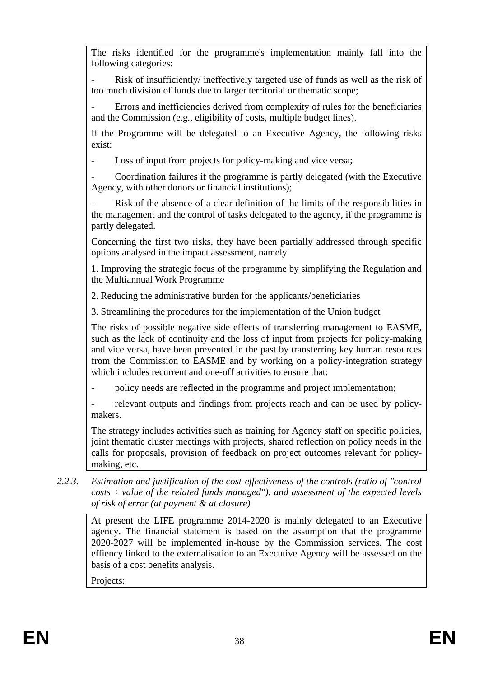The risks identified for the programme's implementation mainly fall into the following categories:

Risk of insufficiently/ ineffectively targeted use of funds as well as the risk of too much division of funds due to larger territorial or thematic scope;

Errors and inefficiencies derived from complexity of rules for the beneficiaries and the Commission (e.g., eligibility of costs, multiple budget lines).

If the Programme will be delegated to an Executive Agency, the following risks exist:

Loss of input from projects for policy-making and vice versa;

- Coordination failures if the programme is partly delegated (with the Executive Agency, with other donors or financial institutions);

Risk of the absence of a clear definition of the limits of the responsibilities in the management and the control of tasks delegated to the agency, if the programme is partly delegated.

Concerning the first two risks, they have been partially addressed through specific options analysed in the impact assessment, namely

1. Improving the strategic focus of the programme by simplifying the Regulation and the Multiannual Work Programme

2. Reducing the administrative burden for the applicants/beneficiaries

3. Streamlining the procedures for the implementation of the Union budget

The risks of possible negative side effects of transferring management to EASME, such as the lack of continuity and the loss of input from projects for policy-making and vice versa, have been prevented in the past by transferring key human resources from the Commission to EASME and by working on a policy-integration strategy which includes recurrent and one-off activities to ensure that:

policy needs are reflected in the programme and project implementation;

relevant outputs and findings from projects reach and can be used by policymakers.

The strategy includes activities such as training for Agency staff on specific policies, joint thematic cluster meetings with projects, shared reflection on policy needs in the calls for proposals, provision of feedback on project outcomes relevant for policymaking, etc.

*2.2.3. Estimation and justification of the cost-effectiveness of the controls (ratio of "control costs ÷ value of the related funds managed"), and assessment of the expected levels of risk of error (at payment & at closure)* 

At present the LIFE programme 2014-2020 is mainly delegated to an Executive agency. The financial statement is based on the assumption that the programme 2020-2027 will be implemented in-house by the Commission services. The cost effiency linked to the externalisation to an Executive Agency will be assessed on the basis of a cost benefits analysis.

Projects: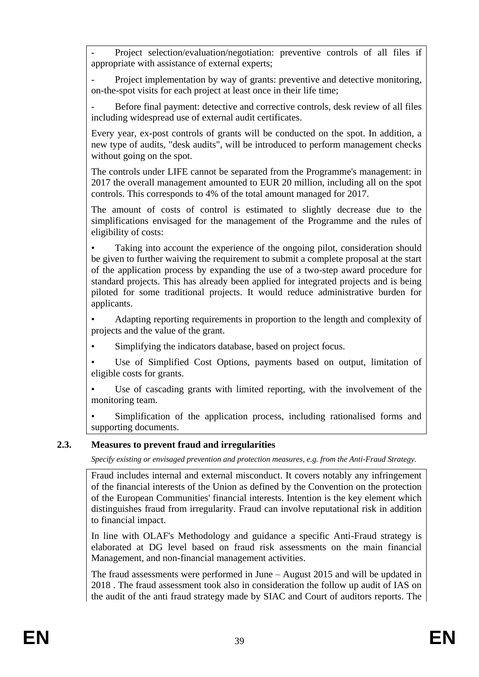- Project selection/evaluation/negotiation: preventive controls of all files if appropriate with assistance of external experts;

Project implementation by way of grants: preventive and detective monitoring, on-the-spot visits for each project at least once in their life time;

Before final payment: detective and corrective controls, desk review of all files including widespread use of external audit certificates.

Every year, ex-post controls of grants will be conducted on the spot. In addition, a new type of audits, "desk audits", will be introduced to perform management checks without going on the spot.

The controls under LIFE cannot be separated from the Programme's management: in 2017 the overall management amounted to EUR 20 million, including all on the spot controls. This corresponds to 4% of the total amount managed for 2017.

The amount of costs of control is estimated to slightly decrease due to the simplifications envisaged for the management of the Programme and the rules of eligibility of costs:

Taking into account the experience of the ongoing pilot, consideration should be given to further waiving the requirement to submit a complete proposal at the start of the application process by expanding the use of a two-step award procedure for standard projects. This has already been applied for integrated projects and is being piloted for some traditional projects. It would reduce administrative burden for applicants.

• Adapting reporting requirements in proportion to the length and complexity of projects and the value of the grant.

Simplifying the indicators database, based on project focus.

Use of Simplified Cost Options, payments based on output, limitation of eligible costs for grants.

Use of cascading grants with limited reporting, with the involvement of the monitoring team.

Simplification of the application process, including rationalised forms and supporting documents.

#### **2.3. Measures to prevent fraud and irregularities**

*Specify existing or envisaged prevention and protection measures, e.g. from the Anti-Fraud Strategy.*

Fraud includes internal and external misconduct. It covers notably any infringement of the financial interests of the Union as defined by the Convention on the protection of the European Communities' financial interests. Intention is the key element which distinguishes fraud from irregularity. Fraud can involve reputational risk in addition to financial impact.

In line with OLAF's Methodology and guidance a specific Anti-Fraud strategy is elaborated at DG level based on fraud risk assessments on the main financial Management, and non-financial management activities.

The fraud assessments were performed in June – August 2015 and will be updated in 2018 . The fraud assessment took also in consideration the follow up audit of IAS on the audit of the anti fraud strategy made by SIAC and Court of auditors reports. The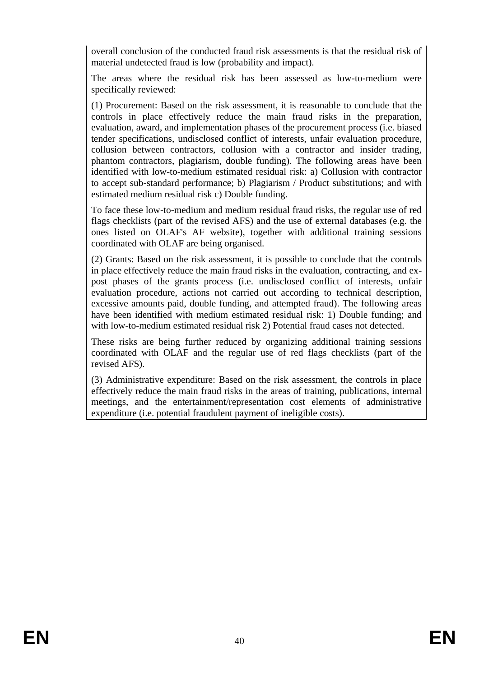overall conclusion of the conducted fraud risk assessments is that the residual risk of material undetected fraud is low (probability and impact).

The areas where the residual risk has been assessed as low-to-medium were specifically reviewed:

(1) Procurement: Based on the risk assessment, it is reasonable to conclude that the controls in place effectively reduce the main fraud risks in the preparation, evaluation, award, and implementation phases of the procurement process (i.e. biased tender specifications, undisclosed conflict of interests, unfair evaluation procedure, collusion between contractors, collusion with a contractor and insider trading, phantom contractors, plagiarism, double funding). The following areas have been identified with low-to-medium estimated residual risk: a) Collusion with contractor to accept sub-standard performance; b) Plagiarism / Product substitutions; and with estimated medium residual risk c) Double funding.

To face these low-to-medium and medium residual fraud risks, the regular use of red flags checklists (part of the revised AFS) and the use of external databases (e.g. the ones listed on OLAF's AF website), together with additional training sessions coordinated with OLAF are being organised.

(2) Grants: Based on the risk assessment, it is possible to conclude that the controls in place effectively reduce the main fraud risks in the evaluation, contracting, and expost phases of the grants process (i.e. undisclosed conflict of interests, unfair evaluation procedure, actions not carried out according to technical description, excessive amounts paid, double funding, and attempted fraud). The following areas have been identified with medium estimated residual risk: 1) Double funding; and with low-to-medium estimated residual risk 2) Potential fraud cases not detected.

These risks are being further reduced by organizing additional training sessions coordinated with OLAF and the regular use of red flags checklists (part of the revised AFS).

(3) Administrative expenditure: Based on the risk assessment, the controls in place effectively reduce the main fraud risks in the areas of training, publications, internal meetings, and the entertainment/representation cost elements of administrative expenditure (i.e. potential fraudulent payment of ineligible costs).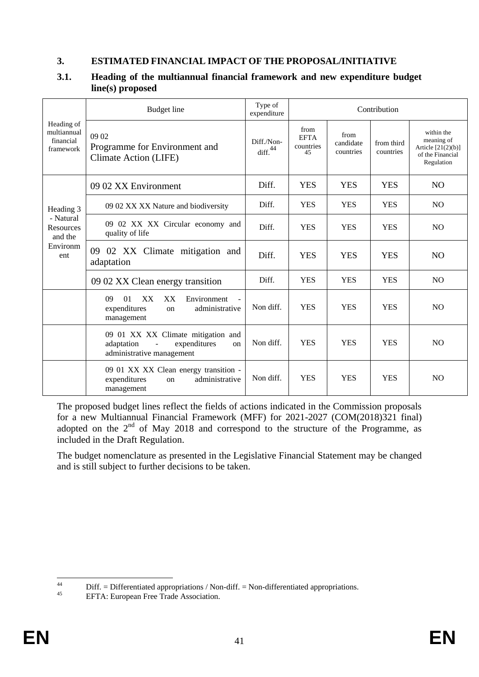#### **3. ESTIMATED FINANCIAL IMPACT OF THE PROPOSAL/INITIATIVE**

|                                                     | <b>Budget</b> line                                                                                   | Type of<br>expenditure            |                                        |                                | Contribution            |                                                                                    |
|-----------------------------------------------------|------------------------------------------------------------------------------------------------------|-----------------------------------|----------------------------------------|--------------------------------|-------------------------|------------------------------------------------------------------------------------|
| Heading of<br>multiannual<br>financial<br>framework | 09 02<br>Programme for Environment and<br>Climate Action (LIFE)                                      | Diff./Non-<br>diff. <sup>44</sup> | from<br><b>EFTA</b><br>countries<br>45 | from<br>candidate<br>countries | from third<br>countries | within the<br>meaning of<br>Article $[21(2)(b)]$<br>of the Financial<br>Regulation |
|                                                     | 09 02 XX Environment                                                                                 | Diff.                             | <b>YES</b>                             | <b>YES</b>                     | <b>YES</b>              | <b>NO</b>                                                                          |
| Heading 3                                           | 09 02 XX XX Nature and biodiversity                                                                  | Diff.                             | <b>YES</b>                             | <b>YES</b>                     | <b>YES</b>              | N <sub>O</sub>                                                                     |
| - Natural<br><b>Resources</b><br>and the            | 09 02 XX XX Circular economy and<br>quality of life                                                  | Diff.                             | <b>YES</b>                             | <b>YES</b>                     | <b>YES</b>              | N <sub>O</sub>                                                                     |
| Environm<br>ent                                     | 09 02 XX Climate mitigation and<br>adaptation                                                        | Diff.                             | <b>YES</b>                             | <b>YES</b>                     | <b>YES</b>              | N <sub>O</sub>                                                                     |
|                                                     | 09 02 XX Clean energy transition                                                                     | Diff.                             | <b>YES</b>                             | <b>YES</b>                     | <b>YES</b>              | N <sub>O</sub>                                                                     |
|                                                     | 09<br>01<br>XX<br>XX<br>Environment<br>administrative<br>expenditures<br><sub>on</sub><br>management | Non diff.                         | <b>YES</b>                             | <b>YES</b>                     | <b>YES</b>              | <b>NO</b>                                                                          |
|                                                     | 09 01 XX XX Climate mitigation and<br>adaptation<br>expenditures<br>on<br>administrative management  | Non diff.                         | <b>YES</b>                             | <b>YES</b>                     | <b>YES</b>              | N <sub>O</sub>                                                                     |
|                                                     | 09 01 XX XX Clean energy transition -<br>administrative<br>expenditures<br>on<br>management          | Non diff.                         | <b>YES</b>                             | <b>YES</b>                     | <b>YES</b>              | N <sub>O</sub>                                                                     |

## **3.1. Heading of the multiannual financial framework and new expenditure budget line(s) proposed**

The proposed budget lines reflect the fields of actions indicated in the Commission proposals for a new Multiannual Financial Framework (MFF) for 2021-2027 (COM(2018)321 final) adopted on the  $2<sup>nd</sup>$  of May 2018 and correspond to the structure of the Programme, as included in the Draft Regulation.

The budget nomenclature as presented in the Legislative Financial Statement may be changed and is still subject to further decisions to be taken.

 $44$ <sup>44</sup> Diff. = Differentiated appropriations / Non-diff. = Non-differentiated appropriations.<br>
EETA: European Free Trede Association

EFTA: European Free Trade Association.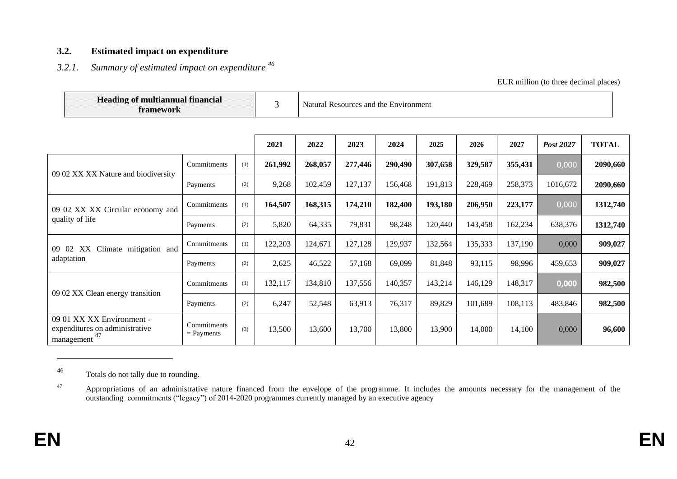#### **3.2. Estimated impact on expenditure**

# *3.2.1. Summary of estimated impact on expenditure <sup>46</sup>*

#### EUR million (to three decimal places)

|                                     | <b>Heading of multiannual financial</b><br>framework                            |                             |     | 3       |         | Natural Resources and the Environment |         |         |         |         |           |              |  |
|-------------------------------------|---------------------------------------------------------------------------------|-----------------------------|-----|---------|---------|---------------------------------------|---------|---------|---------|---------|-----------|--------------|--|
|                                     |                                                                                 |                             |     |         |         |                                       |         |         |         |         |           |              |  |
|                                     |                                                                                 |                             |     | 2021    | 2022    | 2023                                  | 2024    | 2025    | 2026    | 2027    | Post 2027 | <b>TOTAL</b> |  |
|                                     |                                                                                 | Commitments                 | (1) | 261,992 | 268,057 | 277,446                               | 290,490 | 307,658 | 329,587 | 355,431 | 0,000     | 2090,660     |  |
| 09 02 XX XX Nature and biodiversity |                                                                                 | Payments                    | (2) | 9,268   | 102,459 | 127,137                               | 156,468 | 191,813 | 228,469 | 258,373 | 1016,672  | 2090,660     |  |
|                                     | 09 02 XX XX Circular economy and                                                | Commitments                 | (1) | 164,507 | 168,315 | 174,210                               | 182,400 | 193,180 | 206,950 | 223,177 | 0,000     | 1312,740     |  |
|                                     | quality of life                                                                 | Payments                    | (2) | 5,820   | 64,335  | 79,831                                | 98,248  | 120,440 | 143,458 | 162,234 | 638,376   | 1312,740     |  |
| 09 02                               | Climate mitigation and<br>XX                                                    | Commitments                 | (1) | 122,203 | 124,671 | 127,128                               | 129,937 | 132,564 | 135,333 | 137,190 | 0,000     | 909,027      |  |
|                                     | adaptation                                                                      | Payments                    | (2) | 2,625   | 46,522  | 57,168                                | 69,099  | 81,848  | 93,115  | 98,996  | 459,653   | 909,027      |  |
|                                     | 09 02 XX Clean energy transition                                                | Commitments                 | (1) | 132,117 | 134,810 | 137,556                               | 140,357 | 143,214 | 146,129 | 148,317 | 0,000     | 982,500      |  |
|                                     |                                                                                 | Payments                    | (2) | 6,247   | 52,548  | 63,913                                | 76,317  | 89,829  | 101,689 | 108,113 | 483,846   | 982,500      |  |
|                                     | 09 01 XX XX Environment -<br>expenditures on administrative<br>47<br>management | Commitments<br>$=$ Payments | (3) | 13,500  | 13,600  | 13,700                                | 13,800  | 13,900  | 14,000  | 14,100  | 0,000     | 96,600       |  |

<sup>46</sup> Totals do not tally due to rounding.

 $\overline{a}$ 

<sup>&</sup>lt;sup>47</sup> Appropriations of an administrative nature financed from the envelope of the programme. It includes the amounts necessary for the management of the outstanding commitments ("legacy") of 2014-2020 programmes currently managed by an executive agency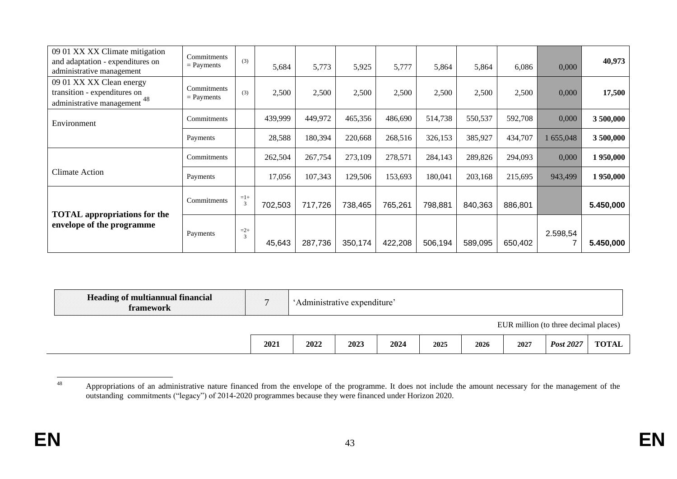| 09 01 XX XX Climate mitigation<br>and adaptation - expenditures on<br>administrative management | Commitments<br>$=$ Payments | (3)        | 5,684   | 5,773   | 5,925   | 5,777   | 5,864   | 5,864   | 6,086   | 0,000     | 40,973    |
|-------------------------------------------------------------------------------------------------|-----------------------------|------------|---------|---------|---------|---------|---------|---------|---------|-----------|-----------|
| 09 01 XX XX Clean energy<br>transition - expenditures on<br>48<br>administrative management     | Commitments<br>$=$ Payments | (3)        | 2,500   | 2,500   | 2,500   | 2,500   | 2,500   | 2,500   | 2,500   | 0,000     | 17,500    |
| Environment                                                                                     | Commitments                 |            | 439,999 | 449,972 | 465,356 | 486,690 | 514,738 | 550,537 | 592,708 | 0,000     | 3500,000  |
|                                                                                                 | Payments                    |            | 28,588  | 180,394 | 220,668 | 268,516 | 326,153 | 385,927 | 434,707 | 1 655,048 | 3500,000  |
|                                                                                                 | Commitments                 |            | 262,504 | 267,754 | 273,109 | 278,571 | 284,143 | 289,826 | 294,093 | 0,000     | 1950,000  |
| <b>Climate Action</b>                                                                           | Payments                    |            | 17,056  | 107,343 | 129,506 | 153,693 | 180,041 | 203,168 | 215,695 | 943,499   | 1950,000  |
| <b>TOTAL</b> appropriations for the                                                             | Commitments                 | $=1+$<br>3 | 702,503 | 717,726 | 738,465 | 765,261 | 798,881 | 840,363 | 886,801 |           | 5.450,000 |
| envelope of the programme                                                                       | Payments                    | $=2+$<br>3 | 45,643  | 287,736 | 350,174 | 422,208 | 506,194 | 589,095 | 650,402 | 2.598,54  | 5.450,000 |

| Heading of multiannual financial<br>framework |      | 'Administrative expenditure' |      |      |      |      |      |                                       |              |
|-----------------------------------------------|------|------------------------------|------|------|------|------|------|---------------------------------------|--------------|
|                                               |      |                              |      |      |      |      |      | EUR million (to three decimal places) |              |
|                                               | 2021 | 2022                         | 2023 | 2024 | 2025 | 2026 | 2027 | Post 2027                             | <b>TOTAL</b> |

<sup>48</sup> <sup>48</sup> Appropriations of an administrative nature financed from the envelope of the programme. It does not include the amount necessary for the management of the outstanding commitments ("legacy") of 2014-2020 programmes because they were financed under Horizon 2020.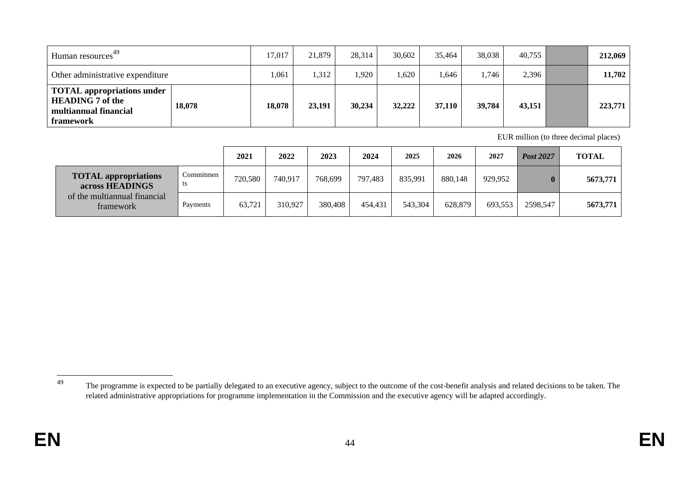| 49<br>Human resources <sup>-</sup>                                                                 |        | 17,017 | 21,879 | 28,314 | 30.602 | 35,464 | 38,038 | 40,755 | 212,069 |
|----------------------------------------------------------------------------------------------------|--------|--------|--------|--------|--------|--------|--------|--------|---------|
| Other administrative expenditure                                                                   |        | ,061   | 1,312  | ,920   | 1,620  | .646   | .746   | 2,396  | 11,702  |
| <b>TOTAL</b> appropriations under<br><b>HEADING 7 of the</b><br>multiannual financial<br>framework | 18,078 | 18,078 | 23,191 | 30,234 | 32,222 | 37,110 | 39,784 | 43,151 | 223,771 |

EUR million (to three decimal places)

|                                                |                 | 2021    | 2022    | 2023    | 2024    | 2025    | 2026    | 2027    | Post 2027 | <b>TOTAL</b> |
|------------------------------------------------|-----------------|---------|---------|---------|---------|---------|---------|---------|-----------|--------------|
| <b>TOTAL</b> appropriations<br>across HEADINGS | Commitmen<br>ts | 720,580 | 740,917 | 768.699 | 797.483 | 835,991 | 880,148 | 929,952 |           | 5673,771     |
| of the multiannual financial<br>framework      | Payments        | 63,721  | 310.927 | 380,408 | 454.431 | 543,304 | 628.879 | 693.553 | 2598,547  | 5673,771     |

49

<sup>&</sup>lt;sup>49</sup> The programme is expected to be partially delegated to an executive agency, subject to the outcome of the cost-benefit analysis and related decisions to be taken. The related administrative appropriations for programme implementation in the Commission and the executive agency will be adapted accordingly.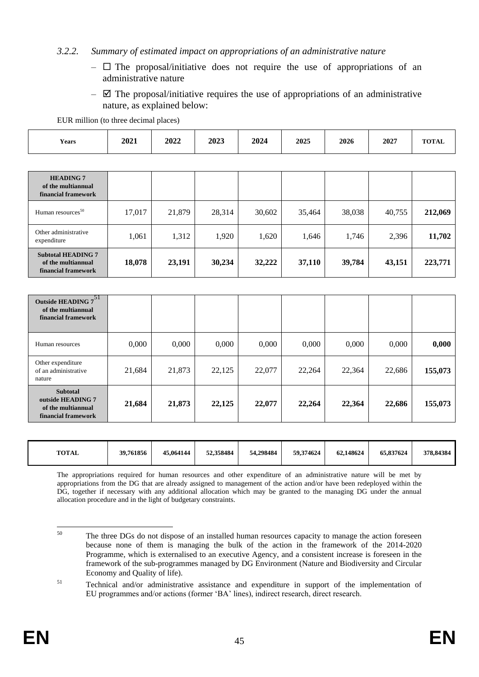#### *3.2.2. Summary of estimated impact on appropriations of an administrative nature*

- $\Box$  The proposal/initiative does not require the use of appropriations of an administrative nature
- $\boxtimes$  The proposal/initiative requires the use of appropriations of an administrative nature, as explained below:

EUR million (to three decimal places)

| <b>Years</b> | 2021 | 2022 | 2023 | 2024 | 2025 | 2026 | 2027 | <b>TOTAL</b> |
|--------------|------|------|------|------|------|------|------|--------------|
|              |      |      |      |      |      |      |      |              |

| <b>HEADING 7</b><br>of the multiannual<br>financial framework          |        |        |        |        |        |        |        |         |
|------------------------------------------------------------------------|--------|--------|--------|--------|--------|--------|--------|---------|
| Human resources <sup>50</sup>                                          | 17,017 | 21,879 | 28,314 | 30,602 | 35,464 | 38,038 | 40,755 | 212,069 |
| Other administrative<br>expenditure                                    | 1,061  | 1,312  | 1,920  | 1,620  | 1,646  | 1,746  | 2,396  | 11,702  |
| <b>Subtotal HEADING 7</b><br>of the multiannual<br>financial framework | 18,078 | 23,191 | 30,234 | 32,222 | 37,110 | 39,784 | 43,151 | 223,771 |

| -51<br><b>Outside HEADING 7</b><br>of the multiannual<br>financial framework      |        |        |        |        |        |        |        |         |
|-----------------------------------------------------------------------------------|--------|--------|--------|--------|--------|--------|--------|---------|
| Human resources                                                                   | 0,000  | 0,000  | 0,000  | 0,000  | 0,000  | 0,000  | 0,000  | 0,000   |
| Other expenditure<br>of an administrative<br>nature                               | 21,684 | 21,873 | 22,125 | 22,077 | 22,264 | 22,364 | 22,686 | 155,073 |
| <b>Subtotal</b><br>outside HEADING 7<br>of the multiannual<br>financial framework | 21,684 | 21,873 | 22,125 | 22,077 | 22,264 | 22,364 | 22,686 | 155,073 |

| <b>TOTAL</b> | 39,761856 | 45,064144 | 52,358484 | 54.298484 | 59.374624 | 62,148624 | 65,837624 | 378,84384 |
|--------------|-----------|-----------|-----------|-----------|-----------|-----------|-----------|-----------|
|--------------|-----------|-----------|-----------|-----------|-----------|-----------|-----------|-----------|

The appropriations required for human resources and other expenditure of an administrative nature will be met by appropriations from the DG that are already assigned to management of the action and/or have been redeployed within the DG, together if necessary with any additional allocation which may be granted to the managing DG under the annual allocation procedure and in the light of budgetary constraints.

<sup>50</sup> The three DGs do not dispose of an installed human resources capacity to manage the action foreseen because none of them is managing the bulk of the action in the framework of the 2014-2020 Programme, which is externalised to an executive Agency, and a consistent increase is foreseen in the framework of the sub-programmes managed by DG Environment (Nature and Biodiversity and Circular Economy and Quality of life).

<sup>51</sup> Technical and/or administrative assistance and expenditure in support of the implementation of EU programmes and/or actions (former 'BA' lines), indirect research, direct research.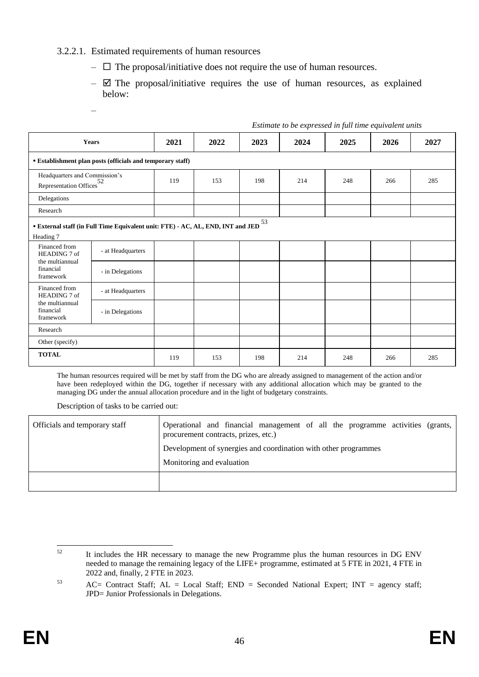#### 3.2.2.1. Estimated requirements of human resources

- $\Box$  The proposal/initiative does not require the use of human resources.
- $\boxtimes$  The proposal/initiative requires the use of human resources, as explained below:

*Estimate to be expressed in full time equivalent units*

–

|                                           | <b>Years</b>                                                                                    |     | 2022 | 2023 | 2024 | 2025 | 2026 | 2027 |
|-------------------------------------------|-------------------------------------------------------------------------------------------------|-----|------|------|------|------|------|------|
|                                           | • Establishment plan posts (officials and temporary staff)                                      |     |      |      |      |      |      |      |
|                                           | Headquarters and Commission's<br>Representation Offices <sup>52</sup>                           |     | 153  | 198  | 214  | 248  | 266  | 285  |
| Delegations                               |                                                                                                 |     |      |      |      |      |      |      |
| Research                                  |                                                                                                 |     |      |      |      |      |      |      |
| Heading 7                                 | $\bullet$ External staff (in Full Time Equivalent unit: FTE) - AC, AL, END, INT and JED $^{53}$ |     |      |      |      |      |      |      |
| Financed from<br>HEADING 7 of             | - at Headquarters                                                                               |     |      |      |      |      |      |      |
| the multiannual<br>financial<br>framework | - in Delegations                                                                                |     |      |      |      |      |      |      |
| Financed from<br>HEADING 7 of             | - at Headquarters                                                                               |     |      |      |      |      |      |      |
| the multiannual<br>financial<br>framework | - in Delegations                                                                                |     |      |      |      |      |      |      |
| Research                                  |                                                                                                 |     |      |      |      |      |      |      |
| Other (specify)                           |                                                                                                 |     |      |      |      |      |      |      |
| <b>TOTAL</b>                              |                                                                                                 | 119 | 153  | 198  | 214  | 248  | 266  | 285  |

The human resources required will be met by staff from the DG who are already assigned to management of the action and/or have been redeployed within the DG, together if necessary with any additional allocation which may be granted to the managing DG under the annual allocation procedure and in the light of budgetary constraints.

Description of tasks to be carried out:

| Officials and temporary staff | Operational and financial management of all the programme activities (grants,<br>procurement contracts, prizes, etc.)<br>Development of synergies and coordination with other programmes<br>Monitoring and evaluation |
|-------------------------------|-----------------------------------------------------------------------------------------------------------------------------------------------------------------------------------------------------------------------|
|                               |                                                                                                                                                                                                                       |

 $52$ <sup>52</sup> It includes the HR necessary to manage the new Programme plus the human resources in DG ENV needed to manage the remaining legacy of the LIFE+ programme, estimated at 5 FTE in 2021, 4 FTE in 2022 and, finally, 2 FTE in 2023.

<sup>53</sup> AC= Contract Staff; AL = Local Staff; END = Seconded National Expert; INT = agency staff; JPD= Junior Professionals in Delegations.